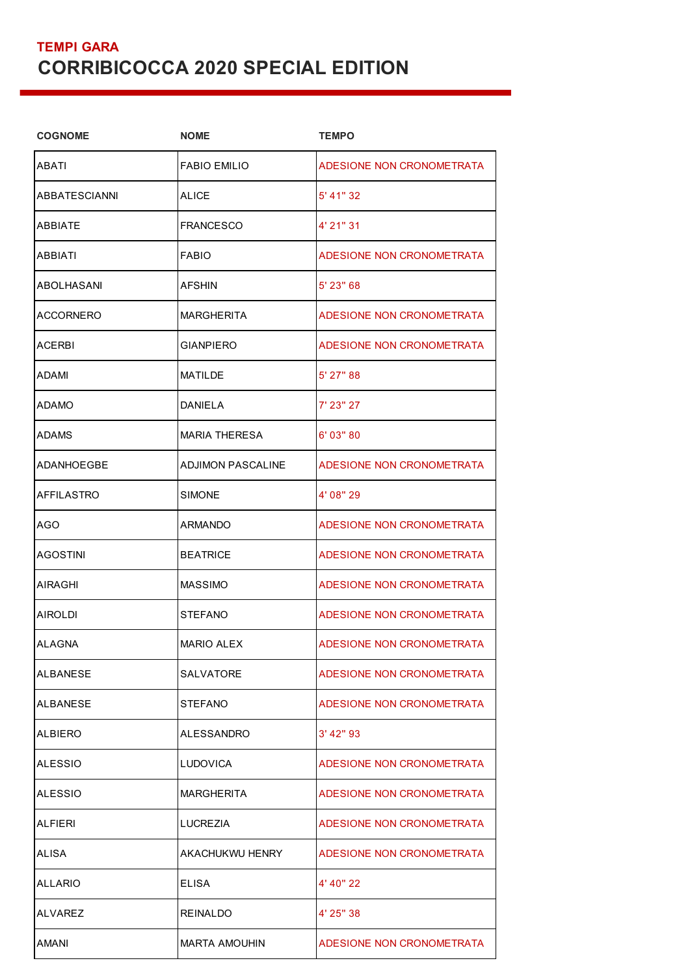## **TEMPI GARA CORRIBICOCCA 2020 SPECIAL EDITION**

| <b>NOME</b>              | <b>TEMPO</b>              |
|--------------------------|---------------------------|
| <b>FABIO EMILIO</b>      | ADESIONE NON CRONOMETRATA |
| ALICE                    | 5' 41" 32                 |
| FRANCESCO                | 4' 21" 31                 |
| <b>FABIO</b>             | ADESIONE NON CRONOMETRATA |
| <b>AFSHIN</b>            | 5' 23" 68                 |
| <b>MARGHERITA</b>        | ADESIONE NON CRONOMETRATA |
| <b>GIANPIERO</b>         | ADESIONE NON CRONOMETRATA |
| <b>MATILDE</b>           | 5' 27" 88                 |
| DANIELA                  | 7' 23" 27                 |
| <b>MARIA THERESA</b>     | 6' 03" 80                 |
| <b>ADJIMON PASCALINE</b> | ADESIONE NON CRONOMETRATA |
| <b>SIMONE</b>            | 4' 08" 29                 |
| ARMANDO                  | ADESIONE NON CRONOMETRATA |
| <b>BEATRICE</b>          | ADESIONE NON CRONOMETRATA |
| <b>MASSIMO</b>           | ADESIONE NON CRONOMETRATA |
| <b>STEFANO</b>           | ADESIONE NON CRONOMETRATA |
| <b>MARIO ALEX</b>        | ADESIONE NON CRONOMETRATA |
| SALVATORE                | ADESIONE NON CRONOMETRATA |
| STEFANO                  | ADESIONE NON CRONOMETRATA |
| ALESSANDRO               | $3'$ 42" 93               |
| <b>LUDOVICA</b>          | ADESIONE NON CRONOMETRATA |
| <b>MARGHERITA</b>        | ADESIONE NON CRONOMETRATA |
| LUCREZIA                 | ADESIONE NON CRONOMETRATA |
| AKACHUKWU HENRY          | ADESIONE NON CRONOMETRATA |
| ELISA                    | 4' 40" 22                 |
| <b>REINALDO</b>          | 4' 25" 38                 |
| <b>MARTA AMOUHIN</b>     | ADESIONE NON CRONOMETRATA |
|                          |                           |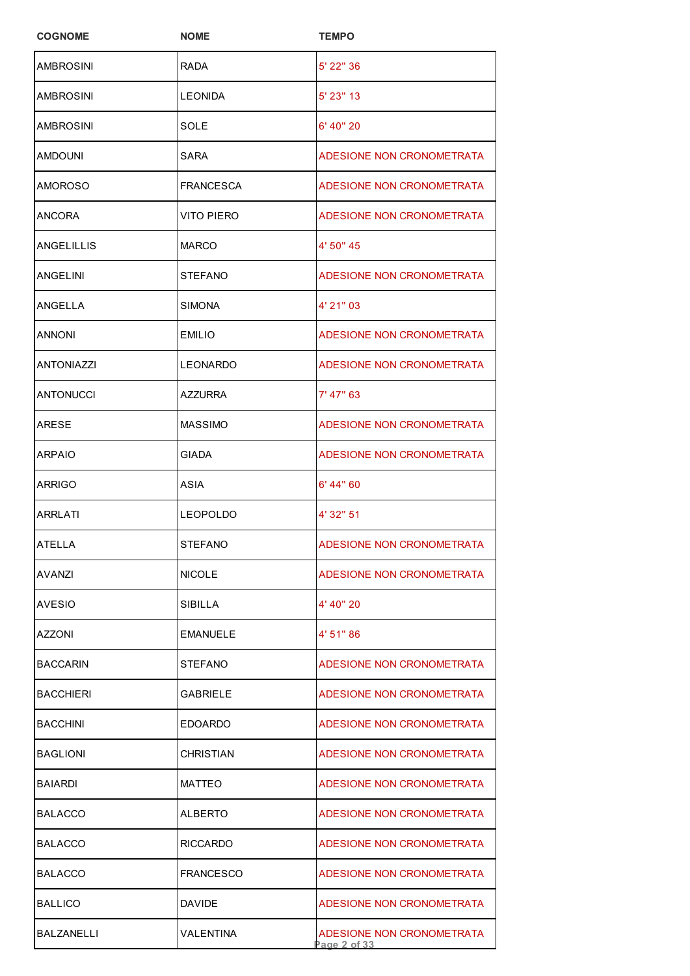| <b>COGNOME</b>    | <b>NOME</b>      | <b>TEMPO</b>                              |
|-------------------|------------------|-------------------------------------------|
| AMBROSINI         | <b>RADA</b>      | 5' 22" 36                                 |
| AMBROSINI         | LEONIDA          | $5'$ 23" 13                               |
| AMBROSINI         | SOLE             | 6' 40" 20                                 |
| AMDOUNI           | SARA             | ADESIONE NON CRONOMETRATA                 |
| AMOROSO           | <b>FRANCESCA</b> | ADESIONE NON CRONOMETRATA                 |
| ANCORA            | VITO PIERO       | ADESIONE NON CRONOMETRATA                 |
| ANGELILLIS        | <b>MARCO</b>     | 4' 50" 45                                 |
| ANGELINI          | <b>STEFANO</b>   | ADESIONE NON CRONOMETRATA                 |
| ANGELLA           | <b>SIMONA</b>    | 4' 21" 03                                 |
| ANNONI            | <b>EMILIO</b>    | ADESIONE NON CRONOMETRATA                 |
| <b>ANTONIAZZI</b> | <b>LEONARDO</b>  | ADESIONE NON CRONOMETRATA                 |
| <b>ANTONUCCI</b>  | <b>AZZURRA</b>   | 7' 47" 63                                 |
| ARESE             | <b>MASSIMO</b>   | ADESIONE NON CRONOMETRATA                 |
| <b>ARPAIO</b>     | <b>GIADA</b>     | ADESIONE NON CRONOMETRATA                 |
| ARRIGO            | <b>ASIA</b>      | 6' 44" 60                                 |
| <b>ARRLATI</b>    | <b>LEOPOLDO</b>  | 4' 32" 51                                 |
| <b>ATELLA</b>     | <b>STEFANO</b>   | ADESIONE NON CRONOMETRATA                 |
| AVANZI            | <b>NICOLE</b>    | ADESIONE NON CRONOMETRATA                 |
| AVESIO            | SIBILLA          | 4' 40" 20                                 |
| AZZONI            | <b>EMANUELE</b>  | 4' 51" 86                                 |
| <b>BACCARIN</b>   | <b>STEFANO</b>   | ADESIONE NON CRONOMETRATA                 |
| <b>BACCHIERI</b>  | <b>GABRIELE</b>  | ADESIONE NON CRONOMETRATA                 |
| <b>BACCHINI</b>   | <b>EDOARDO</b>   | ADESIONE NON CRONOMETRATA                 |
| <b>BAGLIONI</b>   | CHRISTIAN        | ADESIONE NON CRONOMETRATA                 |
| <b>BAIARDI</b>    | <b>MATTEO</b>    | ADESIONE NON CRONOMETRATA                 |
| <b>BALACCO</b>    | ALBERTO          | ADESIONE NON CRONOMETRATA                 |
| <b>BALACCO</b>    | <b>RICCARDO</b>  | ADESIONE NON CRONOMETRATA                 |
| <b>BALACCO</b>    | <b>FRANCESCO</b> | ADESIONE NON CRONOMETRATA                 |
| <b>BALLICO</b>    | <b>DAVIDE</b>    | ADESIONE NON CRONOMETRATA                 |
| BALZANELLI        | VALENTINA        | ADESIONE NON CRONOMETRATA<br>Page 2 of 33 |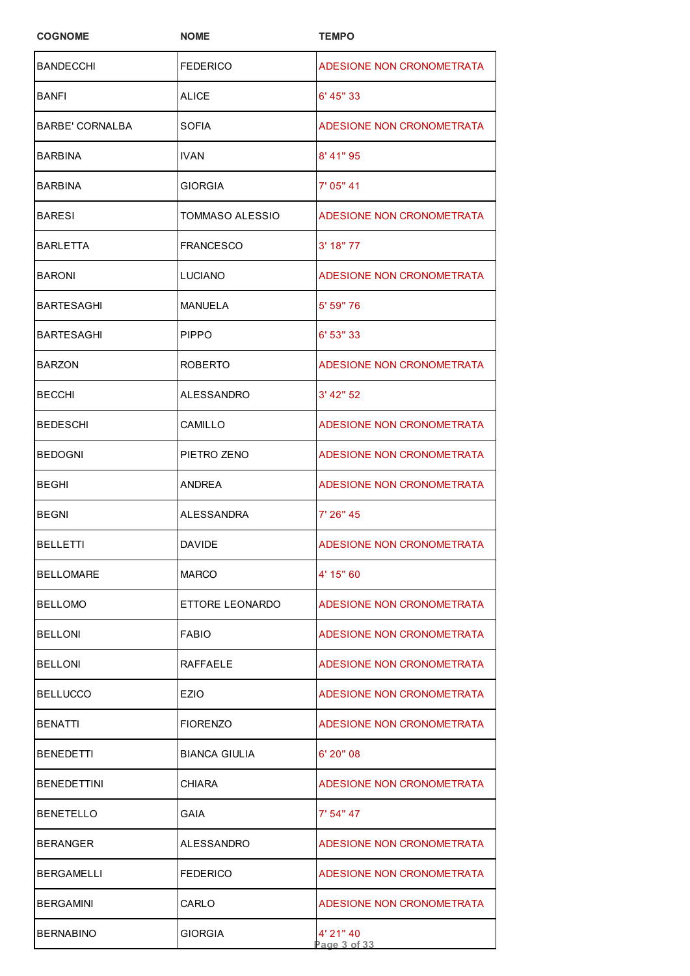| <b>COGNOME</b>         | <b>NOME</b>            | <b>TEMPO</b>              |
|------------------------|------------------------|---------------------------|
| <b>BANDECCHI</b>       | <b>FEDERICO</b>        | ADESIONE NON CRONOMETRATA |
| BANFI                  | ALICE                  | 6' 45" 33                 |
| <b>BARBE' CORNALBA</b> | SOFIA                  | ADESIONE NON CRONOMETRATA |
| BARBINA                | IVAN                   | 8' 41" 95                 |
| <b>BARBINA</b>         | <b>GIORGIA</b>         | 7' 05" 41                 |
| BARESI                 | <b>TOMMASO ALESSIO</b> | ADESIONE NON CRONOMETRATA |
| <b>BARLETTA</b>        | <b>FRANCESCO</b>       | $3'$ 18" 77               |
| BARONI                 | LUCIANO                | ADESIONE NON CRONOMETRATA |
| BARTESAGHI             | <b>MANUELA</b>         | 5' 59" 76                 |
| BARTESAGHI             | <b>PIPPO</b>           | 6' 53" 33                 |
| <b>BARZON</b>          | <b>ROBERTO</b>         | ADESIONE NON CRONOMETRATA |
| <b>BECCHI</b>          | ALESSANDRO             | 3' 42" 52                 |
| BEDESCHI               | CAMILLO                | ADESIONE NON CRONOMETRATA |
| BEDOGNI                | PIETRO ZENO            | ADESIONE NON CRONOMETRATA |
| <b>BEGHI</b>           | <b>ANDREA</b>          | ADESIONE NON CRONOMETRATA |
| <b>BEGNI</b>           | <b>ALESSANDRA</b>      | 7' 26" 45                 |
| <b>BELLETTI</b>        | DAVIDE                 | ADESIONE NON CRONOMETRATA |
| <b>BELLOMARE</b>       | <b>MARCO</b>           | 4' 15" 60                 |
| <b>BELLOMO</b>         | ETTORE LEONARDO        | ADESIONE NON CRONOMETRATA |
| <b>BELLONI</b>         | <b>FABIO</b>           | ADESIONE NON CRONOMETRATA |
| <b>BELLONI</b>         | RAFFAELE               | ADESIONE NON CRONOMETRATA |
| <b>BELLUCCO</b>        | EZIO                   | ADESIONE NON CRONOMETRATA |
| <b>BENATTI</b>         | <b>FIORENZO</b>        | ADESIONE NON CRONOMETRATA |
| <b>BENEDETTI</b>       | BIANCA GIULIA          | $6'$ 20" 08               |
| BENEDETTINI            | <b>CHIARA</b>          | ADESIONE NON CRONOMETRATA |
| BENETELLO              | GAIA                   | 7' 54" 47                 |
| BERANGER               | ALESSANDRO             | ADESIONE NON CRONOMETRATA |
| BERGAMELLI             | <b>FEDERICO</b>        | ADESIONE NON CRONOMETRATA |
| <b>BERGAMINI</b>       | CARLO                  | ADESIONE NON CRONOMETRATA |
| <b>BERNABINO</b>       | GIORGIA                | 4' 21" 40<br>Page 3 of 33 |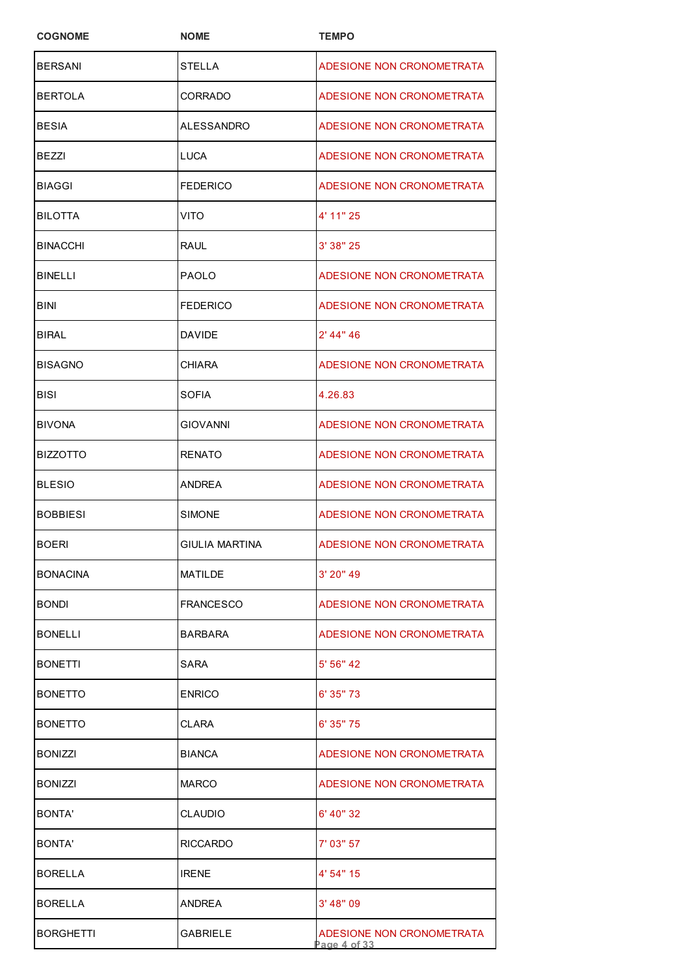| <b>COGNOME</b>   | <b>NOME</b>      | <b>TEMPO</b>                             |
|------------------|------------------|------------------------------------------|
| <b>BERSANI</b>   | <b>STELLA</b>    | ADESIONE NON CRONOMETRATA                |
| <b>BERTOLA</b>   | CORRADO          | ADESIONE NON CRONOMETRATA                |
| <b>BESIA</b>     | ALESSANDRO       | ADESIONE NON CRONOMETRATA                |
| <b>BEZZI</b>     | LUCA             | ADESIONE NON CRONOMETRATA                |
| <b>BIAGGI</b>    | <b>FEDERICO</b>  | ADESIONE NON CRONOMETRATA                |
| <b>BILOTTA</b>   | VITO             | 4' 11" 25                                |
| <b>BINACCHI</b>  | RAUL             | 3' 38" 25                                |
| <b>BINELLI</b>   | PAOLO            | ADESIONE NON CRONOMETRATA                |
| <b>BINI</b>      | <b>FEDERICO</b>  | ADESIONE NON CRONOMETRATA                |
| BIRAL            | <b>DAVIDE</b>    | 2' 44" 46                                |
| <b>BISAGNO</b>   | CHIARA           | ADESIONE NON CRONOMETRATA                |
| BISI             | SOFIA            | 4.26.83                                  |
| <b>BIVONA</b>    | GIOVANNI         | ADESIONE NON CRONOMETRATA                |
| <b>BIZZOTTO</b>  | <b>RENATO</b>    | ADESIONE NON CRONOMETRATA                |
| <b>BLESIO</b>    | ANDREA           | ADESIONE NON CRONOMETRATA                |
| <b>BOBBIESI</b>  | <b>SIMONE</b>    | ADESIONE NON CRONOMETRATA                |
| <b>BOERI</b>     | GIULIA MARTINA   | ADESIONE NON CRONOMETRATA                |
| <b>BONACINA</b>  | <b>MATILDE</b>   | 3' 20" 49                                |
| <b>BONDI</b>     | <b>FRANCESCO</b> | ADESIONE NON CRONOMETRATA                |
| <b>BONELLI</b>   | <b>BARBARA</b>   | ADESIONE NON CRONOMETRATA                |
| <b>BONETTI</b>   | SARA             | 5' 56" 42                                |
| <b>BONETTO</b>   | <b>ENRICO</b>    | 6' 35" 73                                |
| <b>BONETTO</b>   | CLARA            | 6' 35" 75                                |
| <b>BONIZZI</b>   | <b>BIANCA</b>    | ADESIONE NON CRONOMETRATA                |
| <b>BONIZZI</b>   | <b>MARCO</b>     | ADESIONE NON CRONOMETRATA                |
| BONTA'           | CLAUDIO          | 6' 40" 32                                |
| BONTA'           | <b>RICCARDO</b>  | 7' 03" 57                                |
| <b>BORELLA</b>   | <b>IRENE</b>     | 4' 54" 15                                |
| <b>BORELLA</b>   | <b>ANDREA</b>    | 3' 48" 09                                |
| <b>BORGHETTI</b> | GABRIELE         | ADESIONE NON CRONOMETRATA<br>age 4 of 33 |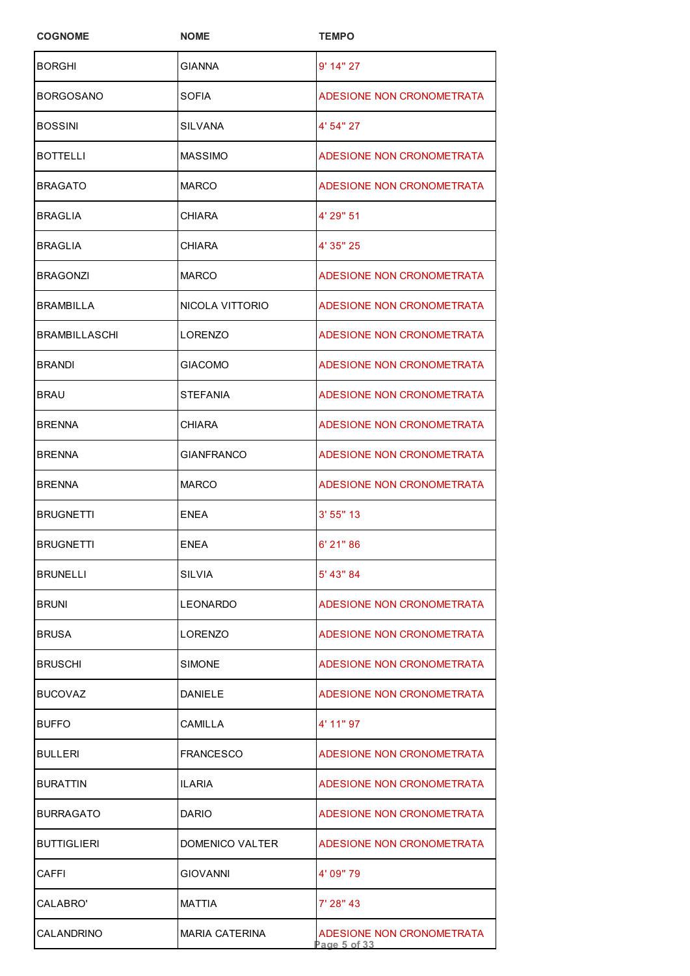| <b>COGNOME</b>       | <b>NOME</b>       | <b>TEMPO</b>                                  |
|----------------------|-------------------|-----------------------------------------------|
| <b>BORGHI</b>        | <b>GIANNA</b>     | 9' 14" 27                                     |
| <b>BORGOSANO</b>     | SOFIA             | ADESIONE NON CRONOMETRATA                     |
| <b>BOSSINI</b>       | SILVANA           | 4' 54" 27                                     |
| <b>BOTTELLI</b>      | <b>MASSIMO</b>    | ADESIONE NON CRONOMETRATA                     |
| <b>BRAGATO</b>       | <b>MARCO</b>      | ADESIONE NON CRONOMETRATA                     |
| <b>BRAGLIA</b>       | <b>CHIARA</b>     | 4' 29" 51                                     |
| <b>BRAGLIA</b>       | <b>CHIARA</b>     | 4' 35" 25                                     |
| <b>BRAGONZI</b>      | <b>MARCO</b>      | ADESIONE NON CRONOMETRATA                     |
| BRAMBILLA            | NICOLA VITTORIO   | ADESIONE NON CRONOMETRATA                     |
| <b>BRAMBILLASCHI</b> | LORENZO           | ADESIONE NON CRONOMETRATA                     |
| <b>BRANDI</b>        | <b>GIACOMO</b>    | ADESIONE NON CRONOMETRATA                     |
| <b>BRAU</b>          | <b>STEFANIA</b>   | ADESIONE NON CRONOMETRATA                     |
| <b>BRENNA</b>        | <b>CHIARA</b>     | ADESIONE NON CRONOMETRATA                     |
| <b>BRENNA</b>        | <b>GIANFRANCO</b> | ADESIONE NON CRONOMETRATA                     |
| <b>BRENNA</b>        | MARCO             | ADESIONE NON CRONOMETRATA                     |
| <b>BRUGNETTI</b>     | <b>ENEA</b>       | 3' 55'' 13                                    |
| <b>BRUGNETTI</b>     | <b>ENEA</b>       | 6' 21" 86                                     |
| <b>BRUNELLI</b>      | SILVIA            | 5' 43" 84                                     |
| <b>BRUNI</b>         | LEONARDO          | ADESIONE NON CRONOMETRATA                     |
| <b>BRUSA</b>         | LORENZO           | ADESIONE NON CRONOMETRATA                     |
| <b>BRUSCHI</b>       | SIMONE            | ADESIONE NON CRONOMETRATA                     |
| <b>BUCOVAZ</b>       | <b>DANIELE</b>    | ADESIONE NON CRONOMETRATA                     |
| <b>BUFFO</b>         | CAMILLA           | 4' 11" 97                                     |
| BULLERI              | <b>FRANCESCO</b>  | ADESIONE NON CRONOMETRATA                     |
| <b>BURATTIN</b>      | ILARIA            | ADESIONE NON CRONOMETRATA                     |
| <b>BURRAGATO</b>     | <b>DARIO</b>      | ADESIONE NON CRONOMETRATA                     |
| <b>BUTTIGLIERI</b>   | DOMENICO VALTER   | ADESIONE NON CRONOMETRATA                     |
| CAFFI                | <b>GIOVANNI</b>   | 4' 09" 79                                     |
| CALABRO'             | MATTIA            | 7' 28" 43                                     |
| CALANDRINO           | MARIA CATERINA    | ADESIONE NON CRONOMETRATA<br>Page $5$ of $33$ |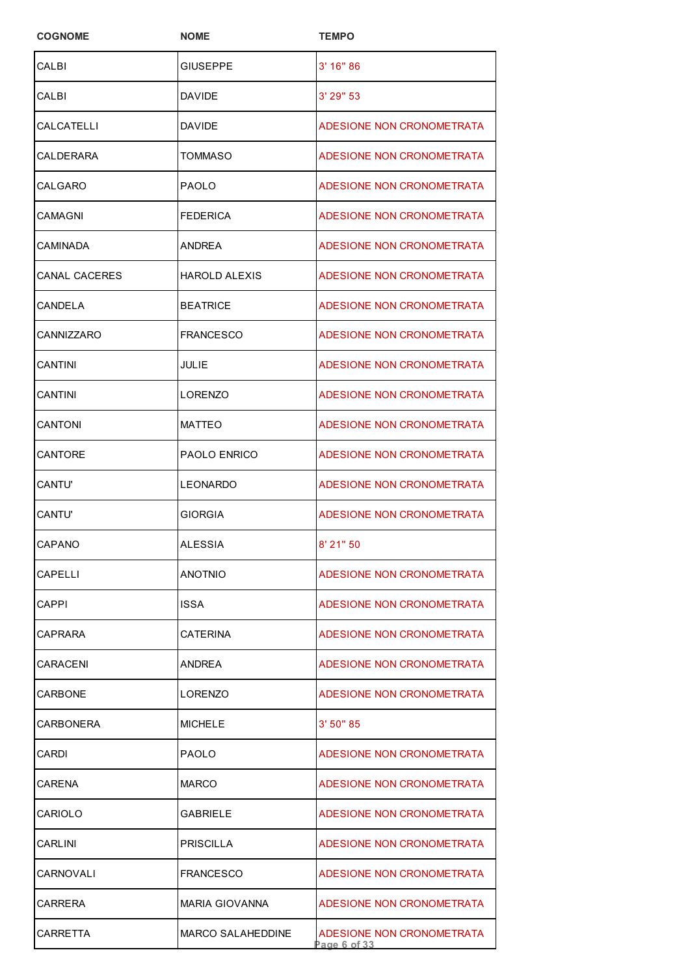| <b>COGNOME</b> | <b>NOME</b>              | <b>TEMPO</b>                             |
|----------------|--------------------------|------------------------------------------|
| CALBI          | <b>GIUSEPPE</b>          | $3'$ 16" 86                              |
| CALBI          | <b>DAVIDE</b>            | $3'$ 29" 53                              |
| CALCATELLI     | <b>DAVIDE</b>            | ADESIONE NON CRONOMETRATA                |
| CALDERARA      | TOMMASO                  | ADESIONE NON CRONOMETRATA                |
| CALGARO        | <b>PAOLO</b>             | ADESIONE NON CRONOMETRATA                |
| CAMAGNI        | <b>FEDERICA</b>          | ADESIONE NON CRONOMETRATA                |
| CAMINADA       | ANDREA                   | ADESIONE NON CRONOMETRATA                |
| CANAL CACERES  | HAROLD ALEXIS            | ADESIONE NON CRONOMETRATA                |
| CANDELA        | <b>BEATRICE</b>          | ADESIONE NON CRONOMETRATA                |
| CANNIZZARO     | <b>FRANCESCO</b>         | ADESIONE NON CRONOMETRATA                |
| CANTINI        | JULIE                    | ADESIONE NON CRONOMETRATA                |
| CANTINI        | <b>LORENZO</b>           | ADESIONE NON CRONOMETRATA                |
| CANTONI        | <b>MATTEO</b>            | ADESIONE NON CRONOMETRATA                |
| CANTORE        | PAOLO ENRICO             | ADESIONE NON CRONOMETRATA                |
| CANTU'         | LEONARDO                 | ADESIONE NON CRONOMETRATA                |
| CANTU'         | <b>GIORGIA</b>           | ADESIONE NON CRONOMETRATA                |
| CAPANO         | ALESSIA                  | 8' 21" 50                                |
| CAPELLI        | <b>ANOTNIO</b>           | ADESIONE NON CRONOMETRATA                |
| CAPPI          | <b>ISSA</b>              | ADESIONE NON CRONOMETRATA                |
| CAPRARA        | CATERINA                 | ADESIONE NON CRONOMETRATA                |
| CARACENI       | ANDREA                   | ADESIONE NON CRONOMETRATA                |
| CARBONE        | LORENZO                  | ADESIONE NON CRONOMETRATA                |
| CARBONERA      | <b>MICHELE</b>           | 3' 50" 85                                |
| CARDI          | <b>PAOLO</b>             | ADESIONE NON CRONOMETRATA                |
| CARENA         | <b>MARCO</b>             | ADESIONE NON CRONOMETRATA                |
| CARIOLO        | GABRIELE                 | ADESIONE NON CRONOMETRATA                |
| CARLINI        | <b>PRISCILLA</b>         | ADESIONE NON CRONOMETRATA                |
| CARNOVALI      | <b>FRANCESCO</b>         | ADESIONE NON CRONOMETRATA                |
| CARRERA        | <b>MARIA GIOVANNA</b>    | ADESIONE NON CRONOMETRATA                |
| CARRETTA       | <b>MARCO SALAHEDDINE</b> | ADESIONE NON CRONOMETRATA<br>age 6 of 33 |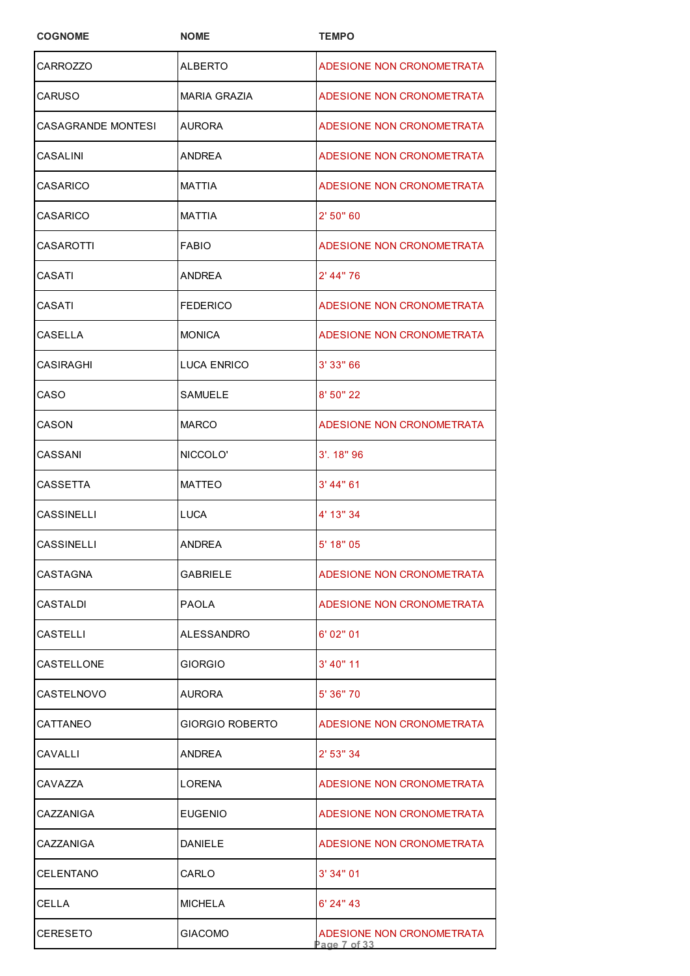| <b>COGNOME</b>     | <b>NOME</b>         | <b>TEMPO</b>                             |
|--------------------|---------------------|------------------------------------------|
| <b>CARROZZO</b>    | ALBERTO             | ADESIONE NON CRONOMETRATA                |
| CARUSO             | <b>MARIA GRAZIA</b> | ADESIONE NON CRONOMETRATA                |
| CASAGRANDE MONTESI | AURORA              | ADESIONE NON CRONOMETRATA                |
| CASALINI           | ANDREA              | ADESIONE NON CRONOMETRATA                |
| CASARICO           | <b>MATTIA</b>       | ADESIONE NON CRONOMETRATA                |
| <b>CASARICO</b>    | <b>MATTIA</b>       | 2' 50" 60                                |
| CASAROTTI          | <b>FABIO</b>        | ADESIONE NON CRONOMETRATA                |
| CASATI             | ANDREA              | $2'$ 44" 76                              |
| CASATI             | FEDERICO            | ADESIONE NON CRONOMETRATA                |
| CASELLA            | <b>MONICA</b>       | ADESIONE NON CRONOMETRATA                |
| CASIRAGHI          | <b>LUCA ENRICO</b>  | 3' 33" 66                                |
| CASO               | SAMUELE             | 8' 50" 22                                |
| CASON              | <b>MARCO</b>        | ADESIONE NON CRONOMETRATA                |
| CASSANI            | NICCOLO'            | $3'$ . 18" 96                            |
| CASSETTA           | <b>MATTEO</b>       | 3' 44" 61                                |
| <b>CASSINELLI</b>  | <b>LUCA</b>         | 4' 13" 34                                |
| CASSINELLI         | <b>ANDREA</b>       | 5' 18" 05                                |
| CASTAGNA           | <b>GABRIELE</b>     | ADESIONE NON CRONOMETRATA                |
| CASTALDI           | <b>PAOLA</b>        | ADESIONE NON CRONOMETRATA                |
| CASTELLI           | ALESSANDRO          | 6'02"01                                  |
| CASTELLONE         | <b>GIORGIO</b>      | $3'$ 40" 11                              |
| CASTELNOVO         | AURORA              | 5' 36" 70                                |
| CATTANEO           | GIORGIO ROBERTO     | ADESIONE NON CRONOMETRATA                |
| CAVALLI            | ANDREA              | 2' 53" 34                                |
| CAVAZZA            | LORENA              | ADESIONE NON CRONOMETRATA                |
| CAZZANIGA          | <b>EUGENIO</b>      | ADESIONE NON CRONOMETRATA                |
| CAZZANIGA          | DANIELE             | ADESIONE NON CRONOMETRATA                |
| CELENTANO          | CARLO               | 3'34"01                                  |
| CELLA              | <b>MICHELA</b>      | $6'$ 24" 43                              |
| CERESETO           | <b>GIACOMO</b>      | ADESIONE NON CRONOMETRATA<br>age 7 of 33 |
|                    |                     |                                          |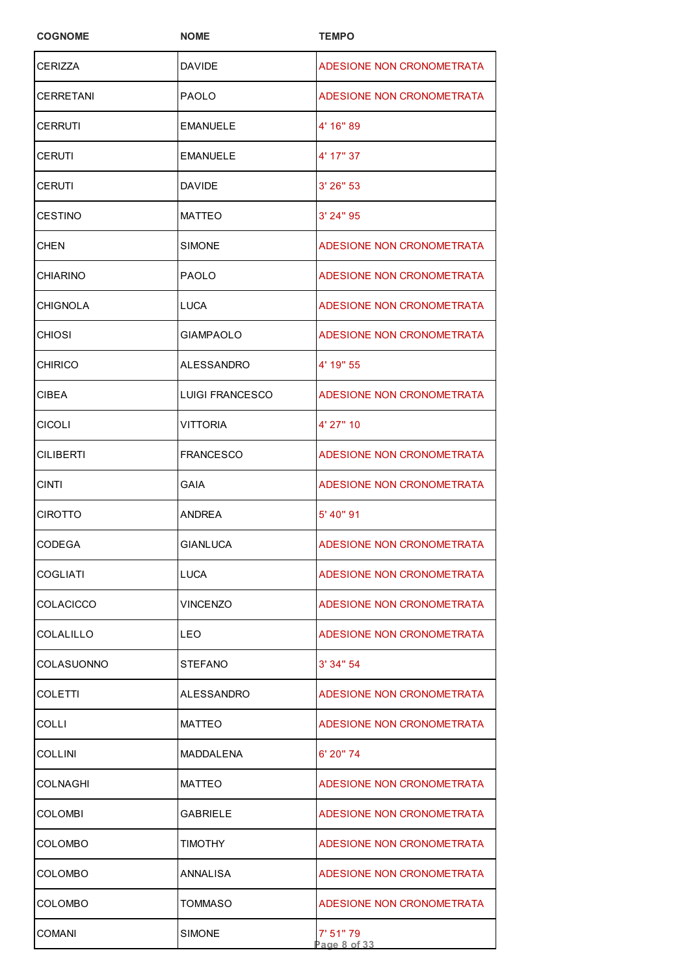| <b>COGNOME</b> | <b>NOME</b>            | <b>TEMPO</b>              |
|----------------|------------------------|---------------------------|
| <b>CERIZZA</b> | DAVIDE                 | ADESIONE NON CRONOMETRATA |
| CERRETANI      | <b>PAOLO</b>           | ADESIONE NON CRONOMETRATA |
| CERRUTI        | EMANUELE               | 4' 16" 89                 |
| CERUTI         | <b>EMANUELE</b>        | 4' 17" 37                 |
| CERUTI         | <b>DAVIDE</b>          | $3'$ 26" 53               |
| CESTINO        | <b>MATTEO</b>          | 3' 24" 95                 |
| CHEN           | SIMONE                 | ADESIONE NON CRONOMETRATA |
| CHIARINO       | <b>PAOLO</b>           | ADESIONE NON CRONOMETRATA |
| CHIGNOLA       | LUCA                   | ADESIONE NON CRONOMETRATA |
| CHIOSI         | <b>GIAMPAOLO</b>       | ADESIONE NON CRONOMETRATA |
| <b>CHIRICO</b> | <b>ALESSANDRO</b>      | 4' 19" 55                 |
| CIBEA          | <b>LUIGI FRANCESCO</b> | ADESIONE NON CRONOMETRATA |
| CICOLI         | VITTORIA               | 4' 27" 10                 |
| CILIBERTI      | <b>FRANCESCO</b>       | ADESIONE NON CRONOMETRATA |
| <b>CINTI</b>   | GAIA                   | ADESIONE NON CRONOMETRATA |
| CIROTTO        | <b>ANDREA</b>          | 5' 40" 91                 |
| CODEGA         | GIANLUCA               | ADESIONE NON CRONOMETRATA |
| COGLIATI       | LUCA                   | ADESIONE NON CRONOMETRATA |
| COLACICCO      | VINCENZO               | ADESIONE NON CRONOMETRATA |
| COLALILLO      | LEO                    | ADESIONE NON CRONOMETRATA |
| COLASUONNO     | <b>STEFANO</b>         | 3'34''54                  |
| COLETTI        | ALESSANDRO             | ADESIONE NON CRONOMETRATA |
| COLLI          | MATTEO                 | ADESIONE NON CRONOMETRATA |
| COLLINI        | MADDALENA              | 6' 20" 74                 |
| COLNAGHI       | <b>MATTEO</b>          | ADESIONE NON CRONOMETRATA |
| COLOMBI        | GABRIELE               | ADESIONE NON CRONOMETRATA |
| COLOMBO        | TIMOTHY                | ADESIONE NON CRONOMETRATA |
| COLOMBO        | ANNALISA               | ADESIONE NON CRONOMETRATA |
| COLOMBO        | TOMMASO                | ADESIONE NON CRONOMETRATA |
| COMANI         | SIMONE                 | 7' 51" 79<br>Page 8 of 33 |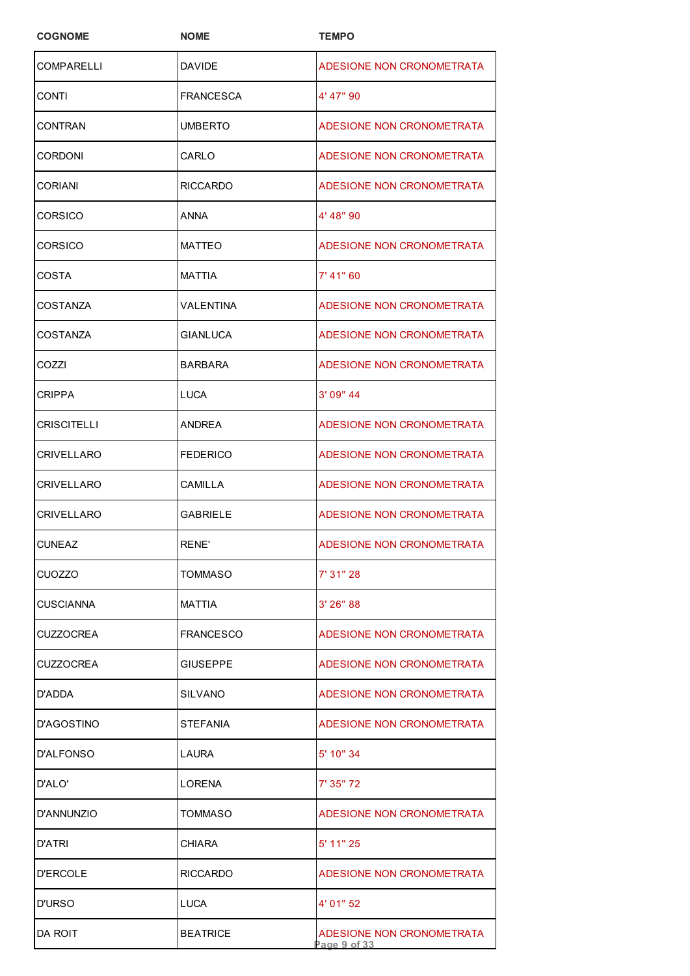| <b>COGNOME</b>   | <b>NOME</b>      | <b>TEMPO</b>                             |
|------------------|------------------|------------------------------------------|
| COMPARELLI       | <b>DAVIDE</b>    | ADESIONE NON CRONOMETRATA                |
| CONTI            | FRANCESCA        | 4' 47" 90                                |
| CONTRAN          | UMBERTO          | ADESIONE NON CRONOMETRATA                |
| CORDONI          | CARLO            | ADESIONE NON CRONOMETRATA                |
| CORIANI          | <b>RICCARDO</b>  | ADESIONE NON CRONOMETRATA                |
| CORSICO          | ANNA             | 4' 48" 90                                |
| CORSICO          | <b>MATTEO</b>    | ADESIONE NON CRONOMETRATA                |
| COSTA            | MATTIA           | 7' 41" 60                                |
| COSTANZA         | VALENTINA        | ADESIONE NON CRONOMETRATA                |
| COSTANZA         | <b>GIANLUCA</b>  | ADESIONE NON CRONOMETRATA                |
| COZZI            | <b>BARBARA</b>   | ADESIONE NON CRONOMETRATA                |
| <b>CRIPPA</b>    | LUCA             | 3' 09" 44                                |
| CRISCITELLI      | ANDREA           | ADESIONE NON CRONOMETRATA                |
| CRIVELLARO       | <b>FEDERICO</b>  | ADESIONE NON CRONOMETRATA                |
| CRIVELLARO       | CAMILLA          | ADESIONE NON CRONOMETRATA                |
| CRIVELLARO       | <b>GABRIELE</b>  | ADESIONE NON CRONOMETRATA                |
| <b>CUNEAZ</b>    | RENE'            | ADESIONE NON CRONOMETRATA                |
| CUOZZO           | TOMMASO          | 7' 31" 28                                |
| CUSCIANNA        | MATTIA           | 3'26''88                                 |
| CUZZOCREA        | <b>FRANCESCO</b> | ADESIONE NON CRONOMETRATA                |
| <b>CUZZOCREA</b> | <b>GIUSEPPE</b>  | ADESIONE NON CRONOMETRATA                |
| D'ADDA           | <b>SILVANO</b>   | ADESIONE NON CRONOMETRATA                |
| D'AGOSTINO       | STEFANIA         | ADESIONE NON CRONOMETRATA                |
| D'ALFONSO        | LAURA            | 5' 10" 34                                |
| D'ALO'           | LORENA           | 7' 35" 72                                |
| D'ANNUNZIO       | TOMMASO          | ADESIONE NON CRONOMETRATA                |
| D'ATRI           | CHIARA           | 5' 11" 25                                |
| <b>D'ERCOLE</b>  | <b>RICCARDO</b>  | ADESIONE NON CRONOMETRATA                |
| D'URSO           | LUCA             | 4' 01" 52                                |
| DA ROIT          | <b>BEATRICE</b>  | ADESIONE NON CRONOMETRATA<br>age 9 of 33 |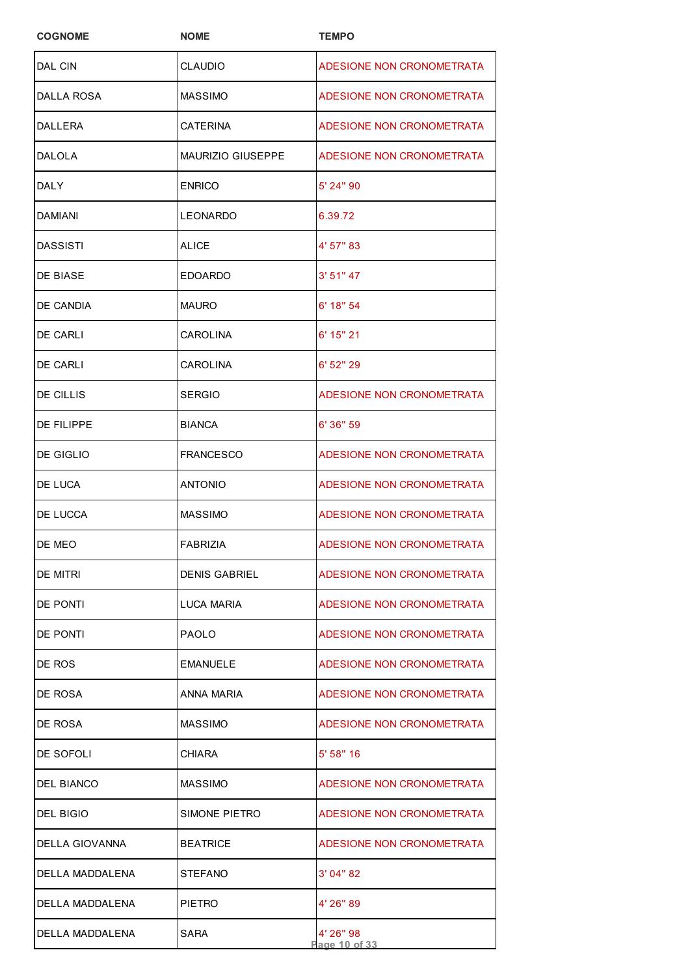| <b>COGNOME</b>  | <b>NOME</b>              | <b>TEMPO</b>               |
|-----------------|--------------------------|----------------------------|
| DAL CIN         | <b>CLAUDIO</b>           | ADESIONE NON CRONOMETRATA  |
| DALLA ROSA      | <b>MASSIMO</b>           | ADESIONE NON CRONOMETRATA  |
| DALLERA         | <b>CATERINA</b>          | ADESIONE NON CRONOMETRATA  |
| DALOLA          | <b>MAURIZIO GIUSEPPE</b> | ADESIONE NON CRONOMETRATA  |
| DALY            | <b>ENRICO</b>            | 5' 24" 90                  |
| DAMIANI         | <b>LEONARDO</b>          | 6.39.72                    |
| DASSISTI        | ALICE                    | 4' 57" 83                  |
| DE BIASE        | <b>EDOARDO</b>           | 3' 51'' 47                 |
| DE CANDIA       | <b>MAURO</b>             | $6'$ 18" 54                |
| DE CARLI        | CAROLINA                 | 6' 15" 21                  |
| DE CARLI        | <b>CAROLINA</b>          | $6'$ 52" 29                |
| DE CILLIS       | <b>SERGIO</b>            | ADESIONE NON CRONOMETRATA  |
| DE FILIPPE      | <b>BIANCA</b>            | 6' 36" 59                  |
| DE GIGLIO       | FRANCESCO                | ADESIONE NON CRONOMETRATA  |
| DE LUCA         | ANTONIO                  | ADESIONE NON CRONOMETRATA  |
| DE LUCCA        | <b>MASSIMO</b>           | ADESIONE NON CRONOMETRATA  |
| <b>DE MEO</b>   | <b>FABRIZIA</b>          | ADESIONE NON CRONOMETRATA  |
| DE MITRI        | <b>DENIS GABRIEL</b>     | ADESIONE NON CRONOMETRATA  |
| DE PONTI        | LUCA MARIA               | ADESIONE NON CRONOMETRATA  |
| DE PONTI        | <b>PAOLO</b>             | ADESIONE NON CRONOMETRATA  |
| DE ROS          | <b>EMANUELE</b>          | ADESIONE NON CRONOMETRATA  |
| DE ROSA         | ANNA MARIA               | ADESIONE NON CRONOMETRATA  |
| DE ROSA         | <b>MASSIMO</b>           | ADESIONE NON CRONOMETRATA  |
| DE SOFOLI       | CHIARA                   | 5' 58" 16                  |
| DEL BIANCO      | MASSIMO                  | ADESIONE NON CRONOMETRATA  |
| DEL BIGIO       | SIMONE PIETRO            | ADESIONE NON CRONOMETRATA  |
| DELLA GIOVANNA  | <b>BEATRICE</b>          | ADESIONE NON CRONOMETRATA  |
| DELLA MADDALENA | <b>STEFANO</b>           | 3' 04" 82                  |
| DELLA MADDALENA | <b>PIETRO</b>            | 4' 26" 89                  |
| DELLA MADDALENA | SARA                     | 4' 26" 98<br>Page 10 of 33 |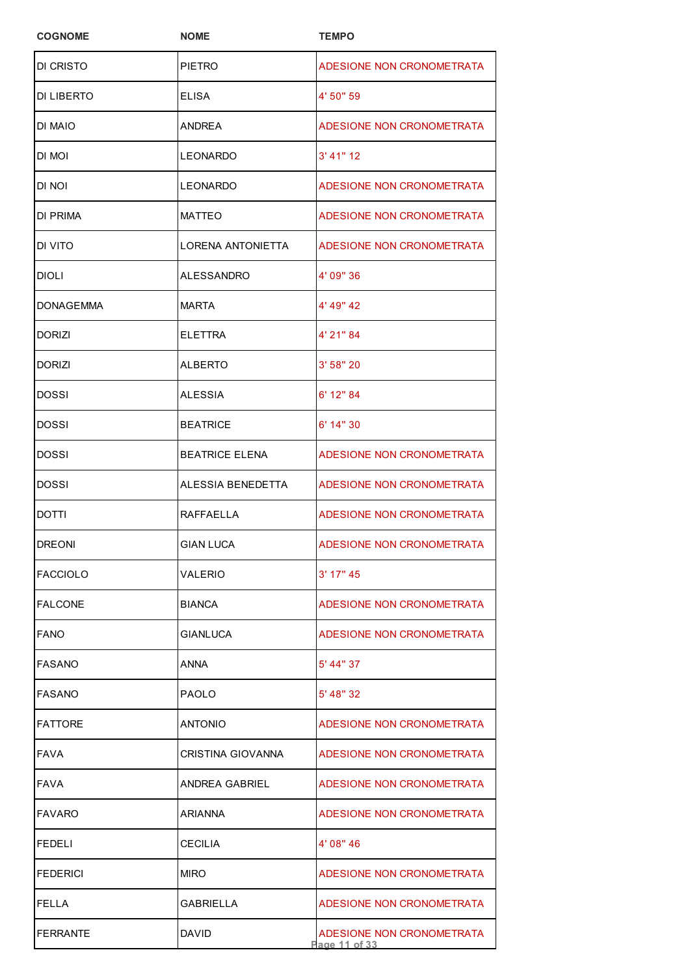| <b>COGNOME</b>  | <b>NOME</b>              | <b>TEMPO</b>                               |
|-----------------|--------------------------|--------------------------------------------|
| DI CRISTO       | PIETRO                   | ADESIONE NON CRONOMETRATA                  |
| DI LIBERTO      | <b>ELISA</b>             | 4' 50" 59                                  |
| di maio         | ANDREA                   | ADESIONE NON CRONOMETRATA                  |
| di mol          | LEONARDO                 | $3'$ 41" 12                                |
| di noi          | <b>LEONARDO</b>          | ADESIONE NON CRONOMETRATA                  |
| DI PRIMA        | <b>MATTEO</b>            | ADESIONE NON CRONOMETRATA                  |
| DI VITO         | <b>LORENA ANTONIETTA</b> | ADESIONE NON CRONOMETRATA                  |
| DIOLI           | ALESSANDRO               | 4' 09" 36                                  |
| DONAGEMMA       | <b>MARTA</b>             | 4' 49" 42                                  |
| DORIZI          | <b>ELETTRA</b>           | 4' 21" 84                                  |
| DORIZI          | <b>ALBERTO</b>           | 3' 58" 20                                  |
| DOSSI           | ALESSIA                  | 6' 12" 84                                  |
| DOSSI           | <b>BEATRICE</b>          | 6' 14" 30                                  |
| DOSSI           | BEATRICE ELENA           | ADESIONE NON CRONOMETRATA                  |
| DOSSI           | ALESSIA BENEDETTA        | ADESIONE NON CRONOMETRATA                  |
| DOTTI           | <b>RAFFAELLA</b>         | ADESIONE NON CRONOMETRATA                  |
| <b>DREONI</b>   | <b>GIAN LUCA</b>         | ADESIONE NON CRONOMETRATA                  |
| FACCIOLO        | VALERIO                  | 3' 17" 45                                  |
| <b>FALCONE</b>  | <b>BIANCA</b>            | ADESIONE NON CRONOMETRATA                  |
| <b>FANO</b>     | GIANLUCA                 | ADESIONE NON CRONOMETRATA                  |
| FASANO          | ANNA                     | 5' 44" 37                                  |
| <b>FASANO</b>   | <b>PAOLO</b>             | 5' 48" 32                                  |
| FATTORE         | ANTONIO                  | ADESIONE NON CRONOMETRATA                  |
| FAVA            | CRISTINA GIOVANNA        | ADESIONE NON CRONOMETRATA                  |
| FAVA            | <b>ANDREA GABRIEL</b>    | ADESIONE NON CRONOMETRATA                  |
| <b>FAVARO</b>   | <b>ARIANNA</b>           | ADESIONE NON CRONOMETRATA                  |
| FEDELI          | <b>CECILIA</b>           | 4' 08" 46                                  |
| <b>FEDERICI</b> | <b>MIRO</b>              | ADESIONE NON CRONOMETRATA                  |
| FELLA           | GABRIELLA                | ADESIONE NON CRONOMETRATA                  |
| <b>FERRANTE</b> | <b>DAVID</b>             | ADESIONE NON CRONOMETRATA<br>Page 11 of 33 |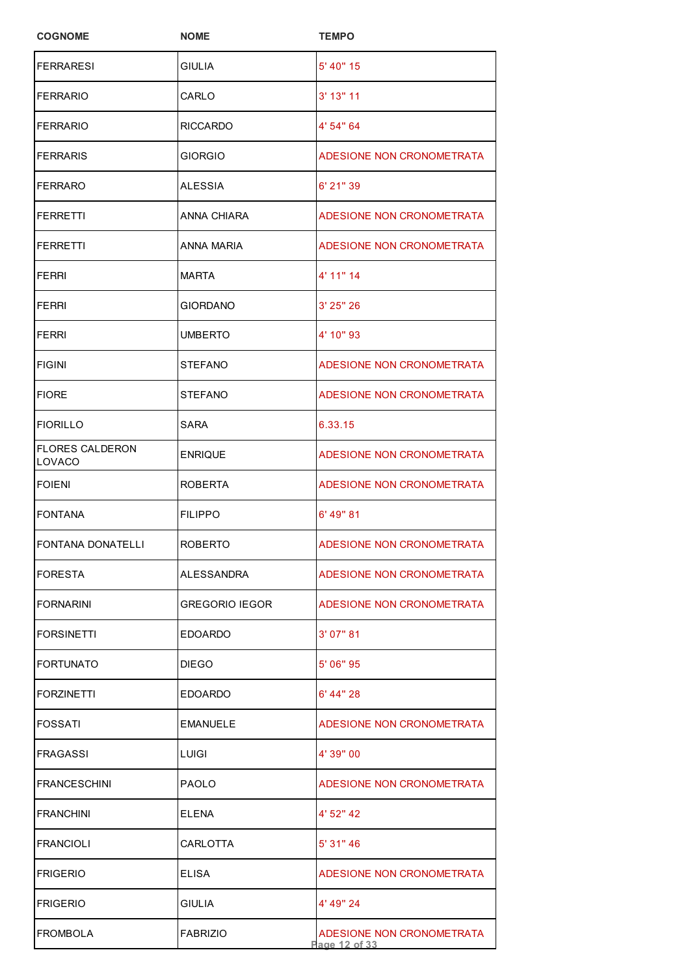| <b>COGNOME</b>                   | <b>NOME</b>           | <b>TEMPO</b>                               |
|----------------------------------|-----------------------|--------------------------------------------|
| <b>FERRARESI</b>                 | GIULIA                | 5' 40" 15                                  |
| <b>FERRARIO</b>                  | CARLO                 | $3'$ 13" 11                                |
| <b>FERRARIO</b>                  | RICCARDO              | 4' 54" 64                                  |
| <b>FERRARIS</b>                  | GIORGIO               | ADESIONE NON CRONOMETRATA                  |
| <b>FERRARO</b>                   | ALESSIA               | 6' 21" 39                                  |
| <b>FERRETTI</b>                  | ANNA CHIARA           | ADESIONE NON CRONOMETRATA                  |
| <b>FERRETTI</b>                  | ANNA MARIA            | ADESIONE NON CRONOMETRATA                  |
| <b>FERRI</b>                     | <b>MARTA</b>          | 4' 11" 14                                  |
| FERRI                            | GIORDANO              | 3' 25" 26                                  |
| FERRI                            | <b>UMBERTO</b>        | 4' 10" 93                                  |
| <b>FIGINI</b>                    | <b>STEFANO</b>        | ADESIONE NON CRONOMETRATA                  |
| <b>FIORE</b>                     | <b>STEFANO</b>        | ADESIONE NON CRONOMETRATA                  |
| <b>FIORILLO</b>                  | SARA                  | 6.33.15                                    |
| <b>FLORES CALDERON</b><br>LOVACO | <b>ENRIQUE</b>        | ADESIONE NON CRONOMETRATA                  |
| <b>FOIENI</b>                    | ROBERTA               | ADESIONE NON CRONOMETRATA                  |
| <b>FONTANA</b>                   | <b>FILIPPO</b>        | 6' 49" 81                                  |
| <b>FONTANA DONATELLI</b>         | <b>ROBERTO</b>        | ADESIONE NON CRONOMETRATA                  |
| <b>FORESTA</b>                   | ALESSANDRA            | ADESIONE NON CRONOMETRATA                  |
| <b>FORNARINI</b>                 | <b>GREGORIO IEGOR</b> | ADESIONE NON CRONOMETRATA                  |
| <b>FORSINETTI</b>                | EDOARDO               | 3' 07" 81                                  |
| <b>FORTUNATO</b>                 | DIEGO                 | 5' 06" 95                                  |
| <b>FORZINETTI</b>                | <b>EDOARDO</b>        | 6' 44" 28                                  |
| <b>FOSSATI</b>                   | <b>EMANUELE</b>       | ADESIONE NON CRONOMETRATA                  |
| FRAGASSI                         | <b>LUIGI</b>          | 4' 39" 00                                  |
| <b>FRANCESCHINI</b>              | PAOLO                 | ADESIONE NON CRONOMETRATA                  |
| <b>FRANCHINI</b>                 | ELENA                 | 4' 52" 42                                  |
| <b>FRANCIOLI</b>                 | CARLOTTA              | 5' 31" 46                                  |
| <b>FRIGERIO</b>                  | ELISA                 | ADESIONE NON CRONOMETRATA                  |
| <b>FRIGERIO</b>                  | <b>GIULIA</b>         | 4' 49" 24                                  |
| <b>FROMBOLA</b>                  | <b>FABRIZIO</b>       | ADESIONE NON CRONOMETRATA<br>Page 12 of 33 |
|                                  |                       |                                            |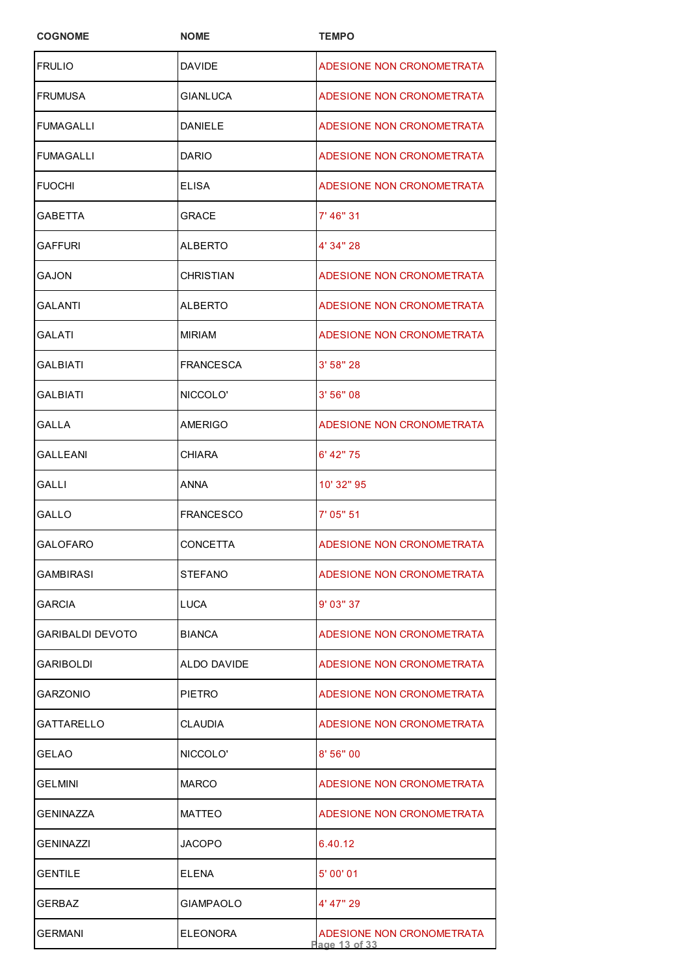| <b>COGNOME</b>   | <b>NOME</b>      | <b>TEMPO</b>                               |
|------------------|------------------|--------------------------------------------|
| <b>FRULIO</b>    | <b>DAVIDE</b>    | ADESIONE NON CRONOMETRATA                  |
| <b>FRUMUSA</b>   | <b>GIANLUCA</b>  | ADESIONE NON CRONOMETRATA                  |
| FUMAGALLI        | <b>DANIELE</b>   | ADESIONE NON CRONOMETRATA                  |
| <b>FUMAGALLI</b> | <b>DARIO</b>     | ADESIONE NON CRONOMETRATA                  |
| <b>FUOCHI</b>    | ELISA            | ADESIONE NON CRONOMETRATA                  |
| GABETTA          | <b>GRACE</b>     | 7' 46" 31                                  |
| GAFFURI          | ALBERTO          | 4' 34" 28                                  |
| GAJON            | <b>CHRISTIAN</b> | ADESIONE NON CRONOMETRATA                  |
| GALANTI          | <b>ALBERTO</b>   | ADESIONE NON CRONOMETRATA                  |
| <b>GALATI</b>    | <b>MIRIAM</b>    | ADESIONE NON CRONOMETRATA                  |
| GALBIATI         | <b>FRANCESCA</b> | 3' 58" 28                                  |
| GALBIATI         | NICCOLO'         | 3' 56" 08                                  |
| GALLA            | <b>AMERIGO</b>   | ADESIONE NON CRONOMETRATA                  |
| GALLEANI         | <b>CHIARA</b>    | 6' 42" 75                                  |
| GALLI            | <b>ANNA</b>      | 10' 32" 95                                 |
| GALLO            | <b>FRANCESCO</b> | 7' 05" 51                                  |
| <b>GALOFARO</b>  | <b>CONCETTA</b>  | ADESIONE NON CRONOMETRATA                  |
| GAMBIRASI        | <b>STEFANO</b>   | ADESIONE NON CRONOMETRATA                  |
| GARCIA           | LUCA             | 9' 03" 37                                  |
| GARIBALDI DEVOTO | <b>BIANCA</b>    | ADESIONE NON CRONOMETRATA                  |
| GARIBOLDI        | ALDO DAVIDE      | ADESIONE NON CRONOMETRATA                  |
| GARZONIO         | <b>PIETRO</b>    | ADESIONE NON CRONOMETRATA                  |
| GATTARELLO       | CLAUDIA          | ADESIONE NON CRONOMETRATA                  |
| GELAO            | NICCOLO'         | 8'56''00                                   |
| GELMINI          | <b>MARCO</b>     | ADESIONE NON CRONOMETRATA                  |
| GENINAZZA        | <b>MATTEO</b>    | ADESIONE NON CRONOMETRATA                  |
| GENINAZZI        | JACOPO           | 6.40.12                                    |
| <b>GENTILE</b>   | <b>ELENA</b>     | 5' 00' 01                                  |
| GERBAZ           | <b>GIAMPAOLO</b> | 4' 47" 29                                  |
| <b>GERMANI</b>   | <b>ELEONORA</b>  | ADESIONE NON CRONOMETRATA<br>Page 13 of 33 |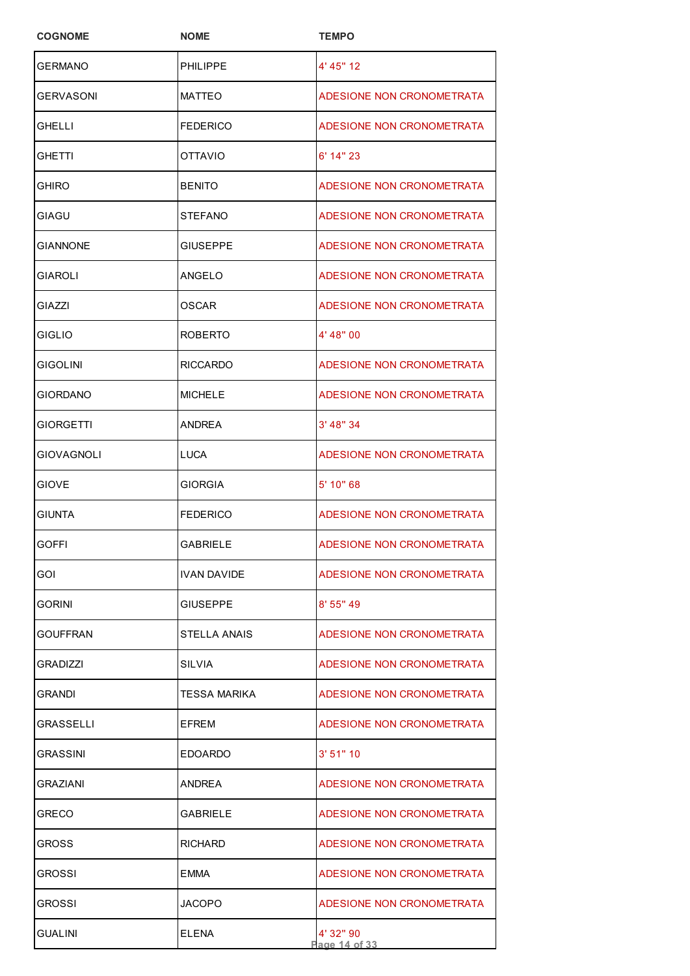| <b>COGNOME</b>  | <b>NOME</b>        | <b>TEMPO</b>               |
|-----------------|--------------------|----------------------------|
| <b>GERMANO</b>  | <b>PHILIPPE</b>    | 4' 45" 12                  |
| GERVASONI       | <b>MATTEO</b>      | ADESIONE NON CRONOMETRATA  |
| GHELLI          | <b>FEDERICO</b>    | ADESIONE NON CRONOMETRATA  |
| GHETTI          | OTTAVIO            | $6'$ 14" 23                |
| GHIRO           | <b>BENITO</b>      | ADESIONE NON CRONOMETRATA  |
| GIAGU           | STEFANO            | ADESIONE NON CRONOMETRATA  |
| GIANNONE        | GIUSEPPE           | ADESIONE NON CRONOMETRATA  |
| GIAROLI         | ANGELO             | ADESIONE NON CRONOMETRATA  |
| GIAZZI          | OSCAR              | ADESIONE NON CRONOMETRATA  |
| <b>GIGLIO</b>   | <b>ROBERTO</b>     | 4' 48" 00                  |
| <b>GIGOLINI</b> | RICCARDO           | ADESIONE NON CRONOMETRATA  |
| <b>GIORDANO</b> | <b>MICHELE</b>     | ADESIONE NON CRONOMETRATA  |
| GIORGETTI       | ANDREA             | 3' 48" 34                  |
| GIOVAGNOLI      | LUCA               | ADESIONE NON CRONOMETRATA  |
| GIOVE           | <b>GIORGIA</b>     | 5' 10" 68                  |
| <b>GIUNTA</b>   | FEDERICO           | ADESIONE NON CRONOMETRATA  |
| <b>GOFFI</b>    | <b>GABRIELE</b>    | ADESIONE NON CRONOMETRATA  |
| GOI             | <b>IVAN DAVIDE</b> | ADESIONE NON CRONOMETRATA  |
| GORINI          | GIUSEPPE           | 8'55''49                   |
| GOUFFRAN        | STELLA ANAIS       | ADESIONE NON CRONOMETRATA  |
| GRADIZZI        | SILVIA             | ADESIONE NON CRONOMETRATA  |
| GRANDI          | TESSA MARIKA       | ADESIONE NON CRONOMETRATA  |
| GRASSELLI       | EFREM              | ADESIONE NON CRONOMETRATA  |
| GRASSINI        | EDOARDO            | 3' 51'' 10                 |
| GRAZIANI        | ANDREA             | ADESIONE NON CRONOMETRATA  |
| GRECO           | GABRIELE           | ADESIONE NON CRONOMETRATA  |
| GROSS           | RICHARD            | ADESIONE NON CRONOMETRATA  |
| GROSSI          | EMMA               | ADESIONE NON CRONOMETRATA  |
| GROSSI          | JACOPO             | ADESIONE NON CRONOMETRATA  |
| GUALINI         | ELENA              | 4' 32" 90<br>Page 14 of 33 |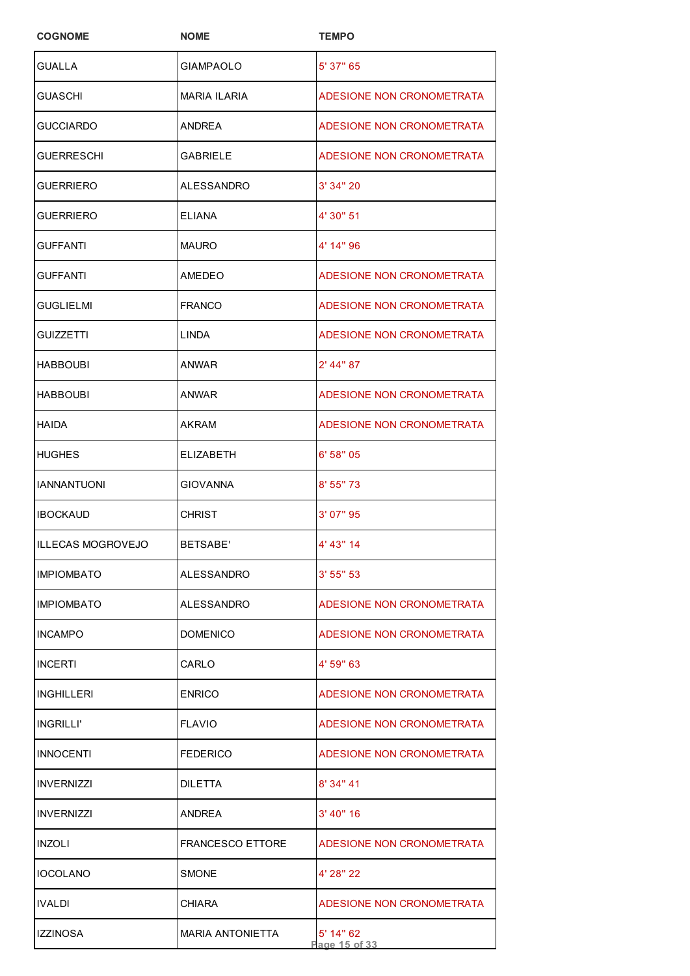| <b>COGNOME</b>     | <b>NOME</b>             | <b>TEMPO</b>               |
|--------------------|-------------------------|----------------------------|
| GUALLA             | <b>GIAMPAOLO</b>        | 5' 37" 65                  |
| GUASCHI            | <b>MARIA ILARIA</b>     | ADESIONE NON CRONOMETRATA  |
| GUCCIARDO          | ANDREA                  | ADESIONE NON CRONOMETRATA  |
| GUERRESCHI         | <b>GABRIELE</b>         | ADESIONE NON CRONOMETRATA  |
| GUERRIERO          | ALESSANDRO              | 3' 34" 20                  |
| GUERRIERO          | <b>ELIANA</b>           | 4' 30" 51                  |
| GUFFANTI           | <b>MAURO</b>            | 4' 14" 96                  |
| GUFFANTI           | AMEDEO                  | ADESIONE NON CRONOMETRATA  |
| GUGLIELMI          | <b>FRANCO</b>           | ADESIONE NON CRONOMETRATA  |
| GUIZZETTI          | LINDA                   | ADESIONE NON CRONOMETRATA  |
| <b>HABBOUBI</b>    | ANWAR                   | $2'$ 44" 87                |
| <b>HABBOUBI</b>    | ANWAR                   | ADESIONE NON CRONOMETRATA  |
| HAIDA              | AKRAM                   | ADESIONE NON CRONOMETRATA  |
| <b>HUGHES</b>      | <b>ELIZABETH</b>        | 6' 58" 05                  |
| <b>IANNANTUONI</b> | <b>GIOVANNA</b>         | 8' 55" 73                  |
| <b>IBOCKAUD</b>    | <b>CHRIST</b>           | 3' 07" 95                  |
| ILLECAS MOGROVEJO  | <b>BETSABE'</b>         | 4' 43" 14                  |
| <b>IMPIOMBATO</b>  | ALESSANDRO              | 3' 55'' 53                 |
| <b>IMPIOMBATO</b>  | ALESSANDRO              | ADESIONE NON CRONOMETRATA  |
| <b>INCAMPO</b>     | <b>DOMENICO</b>         | ADESIONE NON CRONOMETRATA  |
| <b>INCERTI</b>     | CARLO                   | 4' 59" 63                  |
| INGHILLERI         | <b>ENRICO</b>           | ADESIONE NON CRONOMETRATA  |
| INGRILLI'          | <b>FLAVIO</b>           | ADESIONE NON CRONOMETRATA  |
| <b>INNOCENTI</b>   | <b>FEDERICO</b>         | ADESIONE NON CRONOMETRATA  |
| <b>INVERNIZZI</b>  | <b>DILETTA</b>          | 8' 34" 41                  |
| <b>INVERNIZZI</b>  | ANDREA                  | 3' 40" 16                  |
| INZOLI             | <b>FRANCESCO ETTORE</b> | ADESIONE NON CRONOMETRATA  |
| <b>IOCOLANO</b>    | SMONE                   | 4' 28" 22                  |
| IVALDI             | <b>CHIARA</b>           | ADESIONE NON CRONOMETRATA  |
| IZZINOSA           | <b>MARIA ANTONIETTA</b> | 5' 14" 62<br>Page 15 of 33 |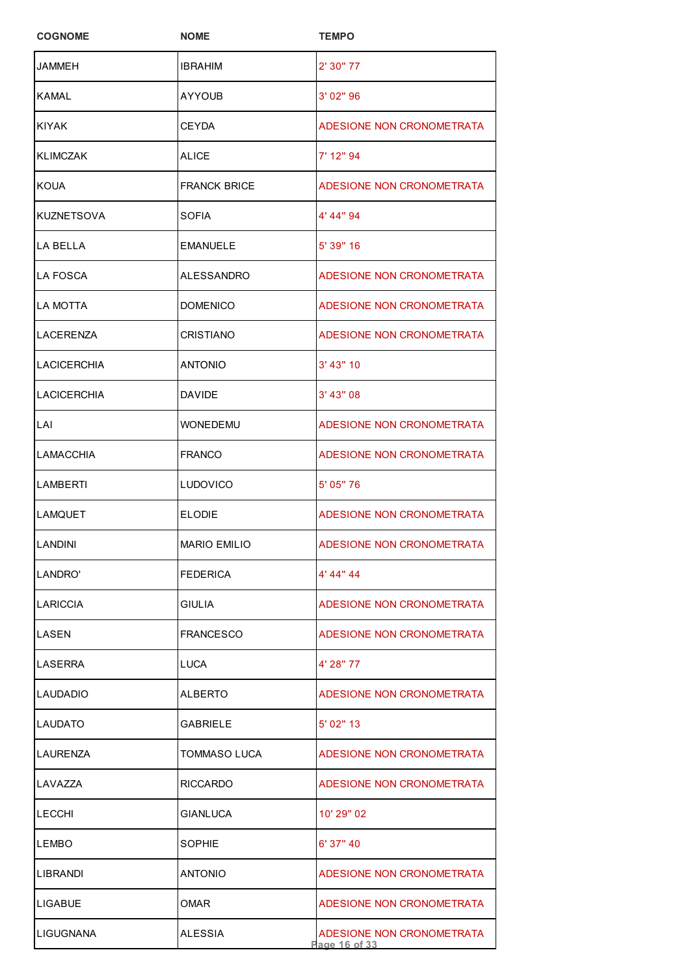| <b>COGNOME</b>     | <b>NOME</b>         | <b>TEMPO</b>                               |
|--------------------|---------------------|--------------------------------------------|
| JAMMEH             | <b>IBRAHIM</b>      | 2' 30" 77                                  |
| KAMAL              | AYYOUB              | 3' 02" 96                                  |
| <b>KIYAK</b>       | <b>CEYDA</b>        | ADESIONE NON CRONOMETRATA                  |
| <b>KLIMCZAK</b>    | ALICE               | 7' 12" 94                                  |
| KOUA               | <b>FRANCK BRICE</b> | ADESIONE NON CRONOMETRATA                  |
| <b>KUZNETSOVA</b>  | SOFIA               | 4' 44" 94                                  |
| LA BELLA           | <b>EMANUELE</b>     | 5' 39" 16                                  |
| LA FOSCA           | ALESSANDRO          | ADESIONE NON CRONOMETRATA                  |
| <b>LA MOTTA</b>    | <b>DOMENICO</b>     | ADESIONE NON CRONOMETRATA                  |
| LACERENZA          | <b>CRISTIANO</b>    | ADESIONE NON CRONOMETRATA                  |
| <b>LACICERCHIA</b> | ANTONIO             | 3' 43" 10                                  |
| <b>LACICERCHIA</b> | <b>DAVIDE</b>       | 3' 43" 08                                  |
| LAI                | WONEDEMU            | ADESIONE NON CRONOMETRATA                  |
| <b>LAMACCHIA</b>   | <b>FRANCO</b>       | ADESIONE NON CRONOMETRATA                  |
| <b>LAMBERTI</b>    | LUDOVICO            | 5' 05" 76                                  |
| <b>LAMQUET</b>     | <b>ELODIE</b>       | ADESIONE NON CRONOMETRATA                  |
| <b>LANDINI</b>     | <b>MARIO EMILIO</b> | ADESIONE NON CRONOMETRATA                  |
| LANDRO'            | <b>FEDERICA</b>     | 4' 44" 44                                  |
| LARICCIA           | GIULIA              | ADESIONE NON CRONOMETRATA                  |
| LASEN              | FRANCESCO           | ADESIONE NON CRONOMETRATA                  |
| LASERRA            | LUCA                | 4' 28" 77                                  |
| LAUDADIO           | ALBERTO             | ADESIONE NON CRONOMETRATA                  |
| LAUDATO            | GABRIELE            | 5' 02" 13                                  |
| LAURENZA           | TOMMASO LUCA        | ADESIONE NON CRONOMETRATA                  |
| LAVAZZA            | RICCARDO            | ADESIONE NON CRONOMETRATA                  |
| <b>LECCHI</b>      | GIANLUCA            | 10' 29" 02                                 |
| <b>LEMBO</b>       | SOPHIE              | $6'$ 37" 40                                |
| LIBRANDI           | ANTONIO             | ADESIONE NON CRONOMETRATA                  |
| LIGABUE            | OMAR                | ADESIONE NON CRONOMETRATA                  |
| LIGUGNANA          | ALESSIA             | ADESIONE NON CRONOMETRATA<br>Page 16 of 33 |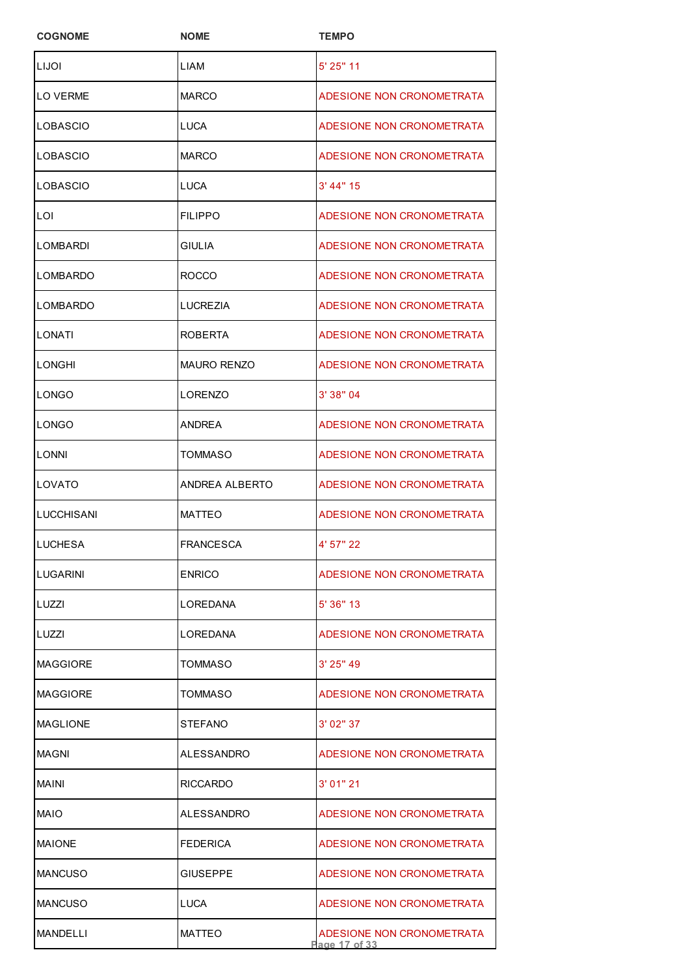| <b>COGNOME</b>    | <b>NOME</b>        | <b>TEMPO</b>                               |
|-------------------|--------------------|--------------------------------------------|
| LIJOI             | LIAM               | 5' 25" 11                                  |
| LO VERME          | <b>MARCO</b>       | ADESIONE NON CRONOMETRATA                  |
| LOBASCIO          | LUCA               | ADESIONE NON CRONOMETRATA                  |
| LOBASCIO          | <b>MARCO</b>       | ADESIONE NON CRONOMETRATA                  |
| LOBASCIO          | LUCA               | 3' 44" 15                                  |
| LOI               | <b>FILIPPO</b>     | ADESIONE NON CRONOMETRATA                  |
| LOMBARDI          | <b>GIULIA</b>      | ADESIONE NON CRONOMETRATA                  |
| LOMBARDO          | ROCCO              | ADESIONE NON CRONOMETRATA                  |
| LOMBARDO          | <b>LUCREZIA</b>    | ADESIONE NON CRONOMETRATA                  |
| LONATI            | ROBERTA            | ADESIONE NON CRONOMETRATA                  |
| <b>LONGHI</b>     | <b>MAURO RENZO</b> | ADESIONE NON CRONOMETRATA                  |
| LONGO             | LORENZO            | 3' 38" 04                                  |
| LONGO             | ANDREA             | ADESIONE NON CRONOMETRATA                  |
| LONNI             | TOMMASO            | ADESIONE NON CRONOMETRATA                  |
| LOVATO            | ANDREA ALBERTO     | ADESIONE NON CRONOMETRATA                  |
| <b>LUCCHISANI</b> | <b>MATTEO</b>      | ADESIONE NON CRONOMETRATA                  |
| <b>ILUCHESA</b>   | <b>FRANCESCA</b>   | 4' 57" 22                                  |
| LUGARINI          | <b>ENRICO</b>      | ADESIONE NON CRONOMETRATA                  |
| LUZZI             | LOREDANA           | 5'36''13                                   |
| LUZZI             | LOREDANA           | ADESIONE NON CRONOMETRATA                  |
| MAGGIORE          | TOMMASO            | $3'$ 25" 49                                |
| <b>MAGGIORE</b>   | TOMMASO            | ADESIONE NON CRONOMETRATA                  |
| <b>MAGLIONE</b>   | <b>STEFANO</b>     | 3' 02" 37                                  |
| MAGNI             | ALESSANDRO         | ADESIONE NON CRONOMETRATA                  |
| MAINI             | RICCARDO           | 3'01''21                                   |
| MAIO              | ALESSANDRO         | ADESIONE NON CRONOMETRATA                  |
| <b>MAIONE</b>     | <b>FEDERICA</b>    | ADESIONE NON CRONOMETRATA                  |
| <b>MANCUSO</b>    | <b>GIUSEPPE</b>    | ADESIONE NON CRONOMETRATA                  |
| <b>MANCUSO</b>    | LUCA               | ADESIONE NON CRONOMETRATA                  |
| MANDELLI          | <b>MATTEO</b>      | ADESIONE NON CRONOMETRATA<br>Page 17 of 33 |
|                   |                    |                                            |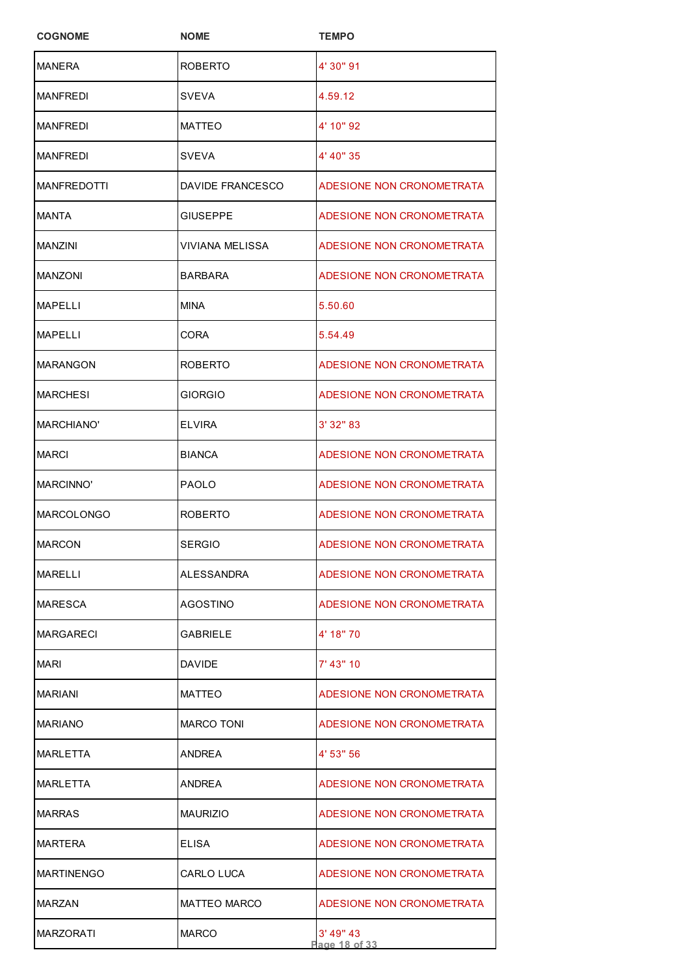| <b>COGNOME</b>     | <b>NOME</b>         | <b>TEMPO</b>               |
|--------------------|---------------------|----------------------------|
| <b>MANERA</b>      | <b>ROBERTO</b>      | 4' 30" 91                  |
| MANFREDI           | SVEVA               | 4.59.12                    |
| <b>MANFREDI</b>    | <b>MATTEO</b>       | 4' 10" 92                  |
| <b>MANFREDI</b>    | SVEVA               | 4' 40" 35                  |
| <b>MANFREDOTTI</b> | DAVIDE FRANCESCO    | ADESIONE NON CRONOMETRATA  |
| <b>MANTA</b>       | <b>GIUSEPPE</b>     | ADESIONE NON CRONOMETRATA  |
| MANZINI            | VIVIANA MELISSA     | ADESIONE NON CRONOMETRATA  |
| <b>MANZONI</b>     | <b>BARBARA</b>      | ADESIONE NON CRONOMETRATA  |
| MAPELLI            | <b>MINA</b>         | 5.50.60                    |
| <b>MAPELLI</b>     | CORA                | 5.54.49                    |
| <b>MARANGON</b>    | <b>ROBERTO</b>      | ADESIONE NON CRONOMETRATA  |
| <b>MARCHESI</b>    | <b>GIORGIO</b>      | ADESIONE NON CRONOMETRATA  |
| MARCHIANO'         | ELVIRA              | 3' 32" 83                  |
| MARCI              | <b>BIANCA</b>       | ADESIONE NON CRONOMETRATA  |
| MARCINNO'          | <b>PAOLO</b>        | ADESIONE NON CRONOMETRATA  |
| <b>MARCOLONGO</b>  | <b>ROBERTO</b>      | ADESIONE NON CRONOMETRATA  |
| <b>MARCON</b>      | <b>SERGIO</b>       | ADESIONE NON CRONOMETRATA  |
| MARELLI            | ALESSANDRA          | ADESIONE NON CRONOMETRATA  |
| MARESCA            | AGOSTINO            | ADESIONE NON CRONOMETRATA  |
| MARGARECI          | <b>GABRIELE</b>     | 4' 18" 70                  |
| MARI               | <b>DAVIDE</b>       | 7' 43" 10                  |
| <b>MARIANI</b>     | <b>MATTEO</b>       | ADESIONE NON CRONOMETRATA  |
| MARIANO            | <b>MARCO TONI</b>   | ADESIONE NON CRONOMETRATA  |
| MARLETTA           | ANDREA              | 4' 53" 56                  |
| MARLETTA           | <b>ANDREA</b>       | ADESIONE NON CRONOMETRATA  |
| <b>MARRAS</b>      | <b>MAURIZIO</b>     | ADESIONE NON CRONOMETRATA  |
| <b>MARTERA</b>     | <b>ELISA</b>        | ADESIONE NON CRONOMETRATA  |
| <b>MARTINENGO</b>  | CARLO LUCA          | ADESIONE NON CRONOMETRATA  |
| MARZAN             | <b>MATTEO MARCO</b> | ADESIONE NON CRONOMETRATA  |
| MARZORATI          | <b>MARCO</b>        | 3' 49" 43<br>Page 18 of 33 |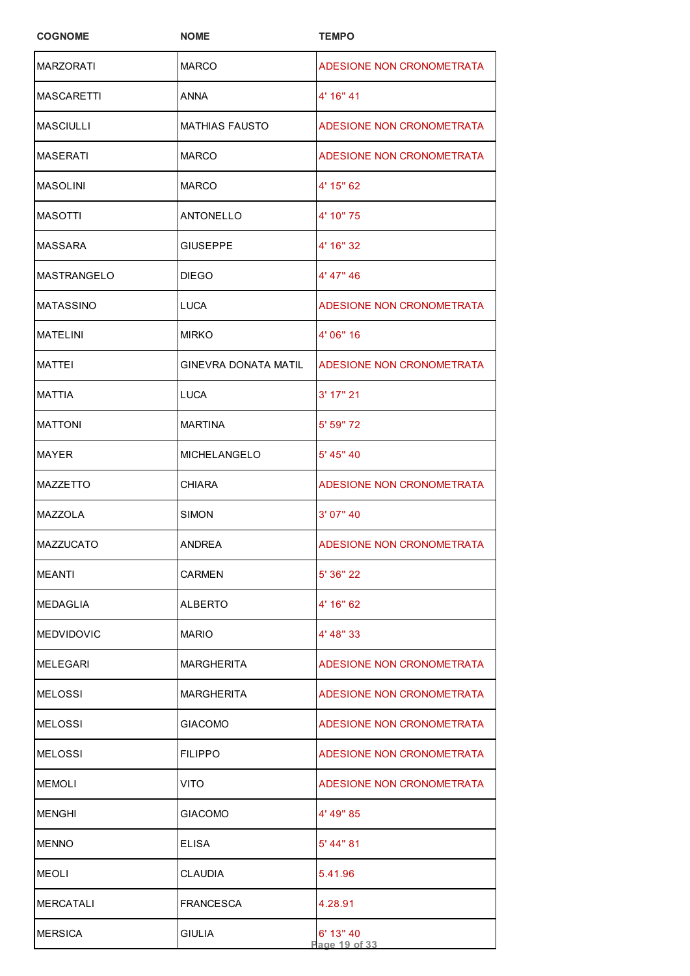| <b>COGNOME</b>    | <b>NOME</b>                 | <b>TEMPO</b>              |
|-------------------|-----------------------------|---------------------------|
| <b>MARZORATI</b>  | <b>MARCO</b>                | ADESIONE NON CRONOMETRATA |
| <b>MASCARETTI</b> | <b>ANNA</b>                 | 4' 16" 41                 |
| MASCIULLI         | <b>MATHIAS FAUSTO</b>       | ADESIONE NON CRONOMETRATA |
| <b>MASERATI</b>   | <b>MARCO</b>                | ADESIONE NON CRONOMETRATA |
| <b>MASOLINI</b>   | <b>MARCO</b>                | 4' 15" 62                 |
| <b>MASOTTI</b>    | <b>ANTONELLO</b>            | 4' 10" 75                 |
| MASSARA           | GIUSEPPE                    | 4' 16" 32                 |
| MASTRANGELO       | <b>DIEGO</b>                | 4' 47" 46                 |
| <b>MATASSINO</b>  | <b>LUCA</b>                 | ADESIONE NON CRONOMETRATA |
| <b>MATELINI</b>   | <b>MIRKO</b>                | 4' 06" 16                 |
| <b>MATTFI</b>     | <b>GINEVRA DONATA MATIL</b> | ADESIONE NON CRONOMETRATA |
| <b>MATTIA</b>     | <b>LUCA</b>                 | 3' 17" 21                 |
| <b>MATTONI</b>    | <b>MARTINA</b>              | 5' 59" 72                 |
| <b>MAYER</b>      | <b>MICHELANGELO</b>         | 5' 45" 40                 |
| <b>MAZZETTO</b>   | <b>CHIARA</b>               | ADESIONE NON CRONOMETRATA |
| <b>MAZZOLA</b>    | <b>SIMON</b>                | 3' 07" 40                 |
| MAZZUCATO         | <b>ANDREA</b>               | ADESIONE NON CRONOMETRATA |
| MEANTI            | <b>CARMEN</b>               | 5' 36" 22                 |
| MEDAGLIA          | <b>ALBERTO</b>              | 4' 16" 62                 |
| <b>MEDVIDOVIC</b> | <b>MARIO</b>                | 4' 48" 33                 |
| MELEGARI          | <b>MARGHERITA</b>           | ADESIONE NON CRONOMETRATA |
| MELOSSI           | <b>MARGHERITA</b>           | ADESIONE NON CRONOMETRATA |
| MELOSSI           | <b>GIACOMO</b>              | ADESIONE NON CRONOMETRATA |
| <b>MELOSSI</b>    | <b>FILIPPO</b>              | ADESIONE NON CRONOMETRATA |
| <b>MEMOLI</b>     | <b>VITO</b>                 | ADESIONE NON CRONOMETRATA |
| MENGHI            | <b>GIACOMO</b>              | 4' 49" 85                 |
| <b>MENNO</b>      | <b>ELISA</b>                | 5' 44" 81                 |
| MEOLI             | <b>CLAUDIA</b>              | 5.41.96                   |
| <b>MERCATALI</b>  | <b>FRANCESCA</b>            | 4.28.91                   |
| <b>MERSICA</b>    | <b>GIULIA</b>               | 6' 13" 40<br>age 19 of 33 |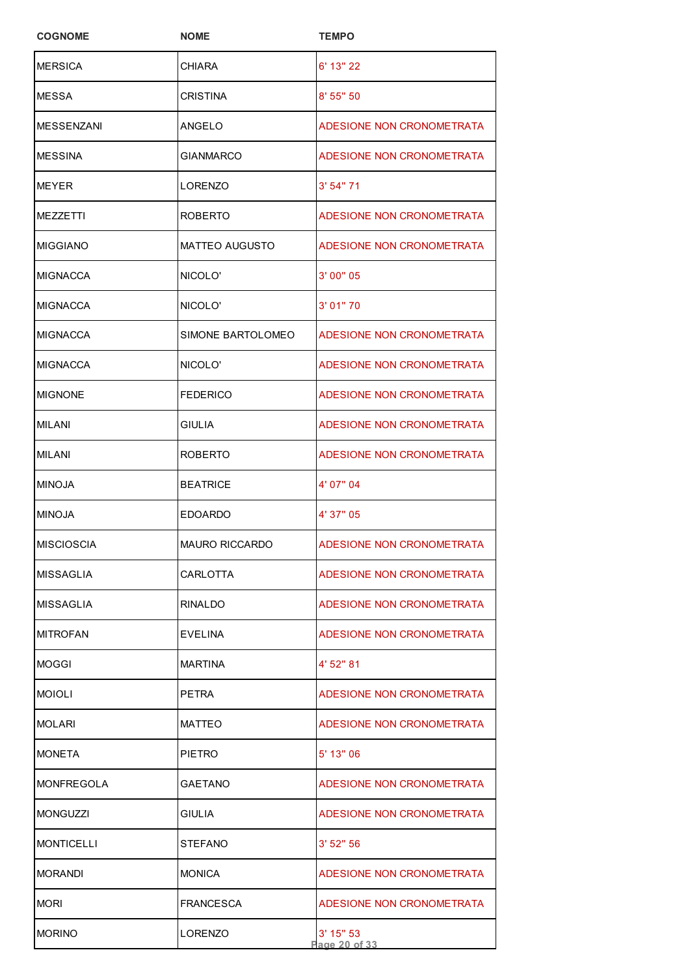| <b>COGNOME</b>    | <b>NOME</b>           | <b>TEMPO</b>                 |
|-------------------|-----------------------|------------------------------|
| <b>MERSICA</b>    | CHIARA                | 6' 13" 22                    |
| MESSA             | <b>CRISTINA</b>       | 8' 55" 50                    |
| <b>MESSENZANI</b> | ANGELO                | ADESIONE NON CRONOMETRATA    |
| <b>MESSINA</b>    | <b>GIANMARCO</b>      | ADESIONE NON CRONOMETRATA    |
| <b>MEYER</b>      | LORENZO               | 3' 54'' 71                   |
| MEZZETTI          | <b>ROBERTO</b>        | ADESIONE NON CRONOMETRATA    |
| <b>MIGGIANO</b>   | <b>MATTEO AUGUSTO</b> | ADESIONE NON CRONOMETRATA    |
| MIGNACCA          | NICOLO'               | 3' 00" 05                    |
| MIGNACCA          | NICOLO'               | 3' 01" 70                    |
| <b>MIGNACCA</b>   | SIMONE BARTOLOMEO     | ADESIONE NON CRONOMETRATA    |
| <b>MIGNACCA</b>   | NICOLO'               | ADESIONE NON CRONOMETRATA    |
| <b>MIGNONE</b>    | <b>FEDERICO</b>       | ADESIONE NON CRONOMETRATA    |
| MILANI            | <b>GIULIA</b>         | ADESIONE NON CRONOMETRATA    |
| <b>MILANI</b>     | <b>ROBERTO</b>        | ADESIONE NON CRONOMETRATA    |
| <b>MINOJA</b>     | <b>BEATRICE</b>       | 4' 07" 04                    |
| <b>MINOJA</b>     | <b>EDOARDO</b>        | 4' 37" 05                    |
| <b>MISCIOSCIA</b> | <b>MAURO RICCARDO</b> | ADESIONE NON CRONOMETRATA    |
| <b>MISSAGLIA</b>  | <b>CARLOTTA</b>       | ADESIONE NON CRONOMETRATA    |
| MISSAGLIA         | <b>RINALDO</b>        | ADESIONE NON CRONOMETRATA    |
| <b>MITROFAN</b>   | EVELINA               | ADESIONE NON CRONOMETRATA    |
| MOGGI             | <b>MARTINA</b>        | 4' 52" 81                    |
| <b>MOIOLI</b>     | <b>PETRA</b>          | ADESIONE NON CRONOMETRATA    |
| <b>MOLARI</b>     | <b>MATTEO</b>         | ADESIONE NON CRONOMETRATA    |
| <b>MONETA</b>     | <b>PIETRO</b>         | 5' 13" 06                    |
| <b>MONFREGOLA</b> | <b>GAETANO</b>        | ADESIONE NON CRONOMETRATA    |
| <b>MONGUZZI</b>   | GIULIA                | ADESIONE NON CRONOMETRATA    |
| <b>MONTICELLI</b> | STEFANO               | $3'$ 52" 56                  |
| <b>MORANDI</b>    | <b>MONICA</b>         | ADESIONE NON CRONOMETRATA    |
| Mori              | <b>FRANCESCA</b>      | ADESIONE NON CRONOMETRATA    |
| <b>MORINO</b>     | LORENZO               | $3'$ 15" 53<br>Page 20 of 33 |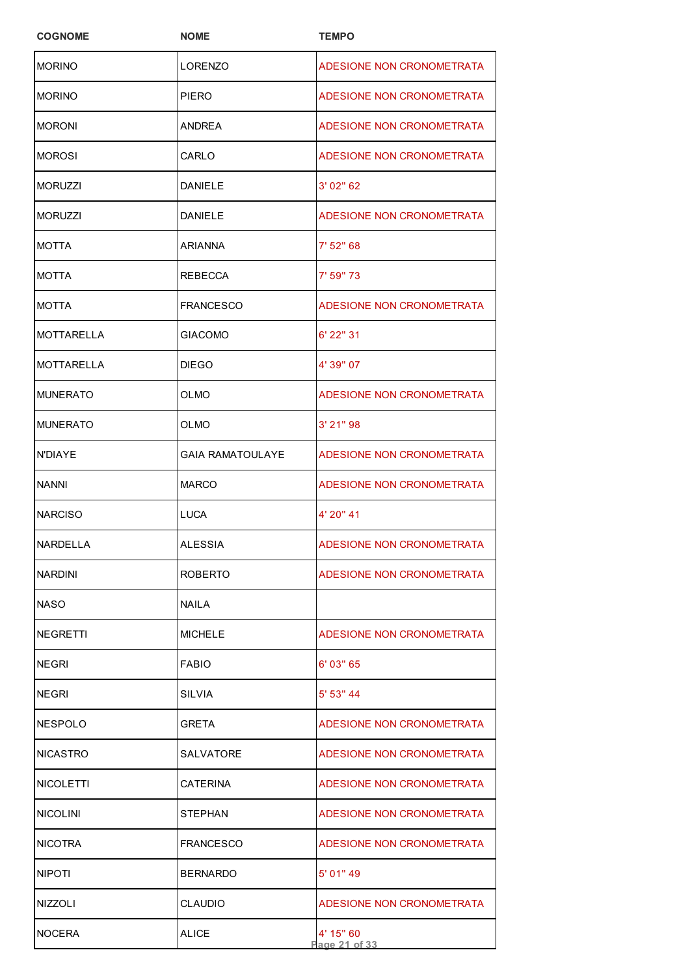| <b>COGNOME</b>    | <b>NOME</b>      | <b>TEMPO</b>               |
|-------------------|------------------|----------------------------|
| <b>MORINO</b>     | LORENZO          | ADESIONE NON CRONOMETRATA  |
| <b>MORINO</b>     | <b>PIERO</b>     | ADESIONE NON CRONOMETRATA  |
| <b>MORONI</b>     | ANDREA           | ADESIONE NON CRONOMETRATA  |
| <b>MOROSI</b>     | CARLO            | ADESIONE NON CRONOMETRATA  |
| <b>MORUZZI</b>    | <b>DANIELE</b>   | 3' 02" 62                  |
| <b>MORUZZI</b>    | <b>DANIELE</b>   | ADESIONE NON CRONOMETRATA  |
| MOTTA             | ARIANNA          | 7' 52" 68                  |
| MOTTA             | REBECCA          | 7' 59" 73                  |
| <b>MOTTA</b>      | <b>FRANCESCO</b> | ADESIONE NON CRONOMETRATA  |
| <b>MOTTARELLA</b> | GIACOMO          | 6' 22" 31                  |
| <b>MOTTARELLA</b> | <b>DIEGO</b>     | 4' 39" 07                  |
| <b>MUNERATO</b>   | OLMO             | ADESIONE NON CRONOMETRATA  |
| <b>MUNERATO</b>   | OLMO             | $3'$ 21" 98                |
| N'DIAYE           | GAIA RAMATOULAYE | ADESIONE NON CRONOMETRATA  |
| <b>NANNI</b>      | <b>MARCO</b>     | ADESIONE NON CRONOMETRATA  |
| <b>NARCISO</b>    | <b>LUCA</b>      | 4' 20" 41                  |
| NARDELLA          | <b>ALESSIA</b>   | ADESIONE NON CRONOMETRATA  |
| <b>NARDINI</b>    | <b>ROBERTO</b>   | ADESIONE NON CRONOMETRATA  |
| <b>NASO</b>       | <b>NAILA</b>     |                            |
| <b>NEGRETTI</b>   | <b>MICHELE</b>   | ADESIONE NON CRONOMETRATA  |
| <b>NEGRI</b>      | <b>FABIO</b>     | 6' 03" 65                  |
| <b>NEGRI</b>      | SILVIA           | 5' 53" 44                  |
| NESPOLO           | GRETA            | ADESIONE NON CRONOMETRATA  |
| <b>NICASTRO</b>   | SALVATORE        | ADESIONE NON CRONOMETRATA  |
| NICOLETTI         | CATERINA         | ADESIONE NON CRONOMETRATA  |
| <b>NICOLINI</b>   | STEPHAN          | ADESIONE NON CRONOMETRATA  |
| <b>NICOTRA</b>    | <b>FRANCESCO</b> | ADESIONE NON CRONOMETRATA  |
| <b>NIPOTI</b>     | <b>BERNARDO</b>  | $5'$ 01" 49                |
| <b>NIZZOLI</b>    | CLAUDIO          | ADESIONE NON CRONOMETRATA  |
| <b>NOCERA</b>     | ALICE            | 4' 15" 60<br>Page 21 of 33 |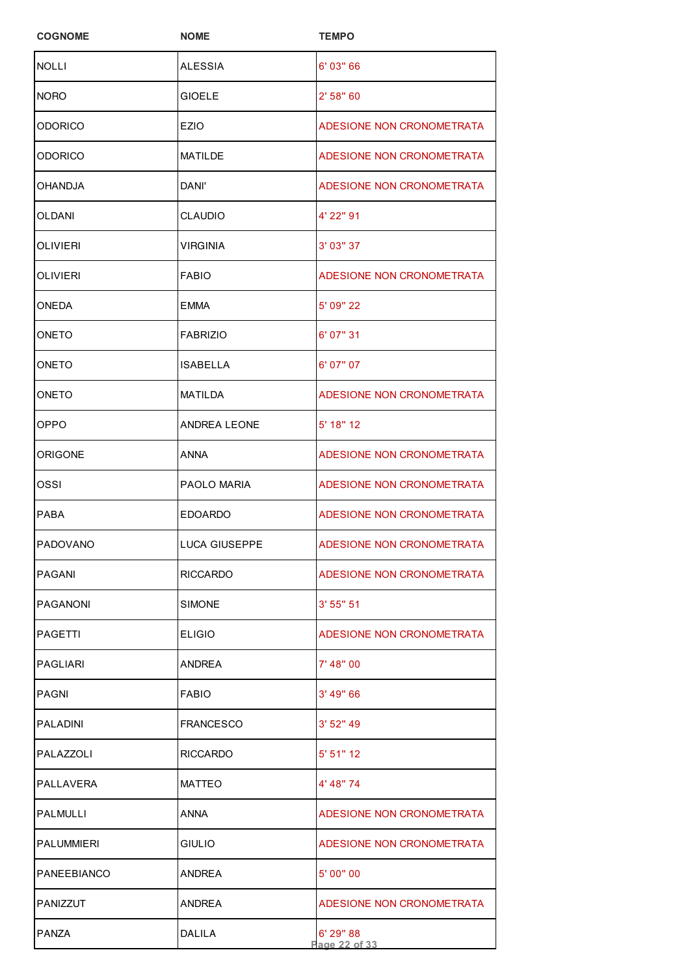| <b>COGNOME</b>    | <b>NOME</b>          | <b>TEMPO</b>               |
|-------------------|----------------------|----------------------------|
| <b>NOLLI</b>      | <b>ALESSIA</b>       | 6' 03" 66                  |
| <b>NORO</b>       | <b>GIOELE</b>        | 2' 58" 60                  |
| ODORICO           | <b>EZIO</b>          | ADESIONE NON CRONOMETRATA  |
| ODORICO           | MATILDE              | ADESIONE NON CRONOMETRATA  |
| OHANDJA           | DANI'                | ADESIONE NON CRONOMETRATA  |
| OLDANI            | <b>CLAUDIO</b>       | 4' 22" 91                  |
| OLIVIERI          | <b>VIRGINIA</b>      | 3' 03" 37                  |
| <b>OLIVIERI</b>   | FABIO                | ADESIONE NON CRONOMETRATA  |
| ONEDA             | EMMA                 | 5' 09" 22                  |
| ONETO             | <b>FABRIZIO</b>      | 6' 07" 31                  |
| ONETO             | ISABELLA             | 6' 07" 07                  |
| ONETO             | <b>MATILDA</b>       | ADESIONE NON CRONOMETRATA  |
| OPPO              | <b>ANDREA LEONE</b>  | 5' 18" 12                  |
| ORIGONE           | ANNA                 | ADESIONE NON CRONOMETRATA  |
| ossi              | PAOLO MARIA          | ADESIONE NON CRONOMETRATA  |
| <b>PABA</b>       | <b>EDOARDO</b>       | ADESIONE NON CRONOMETRATA  |
| PADOVANO          | <b>LUCA GIUSEPPE</b> | ADESIONE NON CRONOMETRATA  |
| PAGANI            | RICCARDO             | ADESIONE NON CRONOMETRATA  |
| PAGANONI          | SIMONE               | 3' 55'' 51                 |
| PAGETTI           | <b>ELIGIO</b>        | ADESIONE NON CRONOMETRATA  |
| PAGI IARI         | <b>ANDRFA</b>        | 7' 48" 00                  |
| PAGNI             | <b>FABIO</b>         | 3' 49" 66                  |
| PALADINI          | FRANCESCO            | 3' 52" 49                  |
| PALAZZOLI         | RICCARDO             | $5'$ 51" 12                |
| PALLAVERA         | <b>MATTEO</b>        | 4' 48" 74                  |
| PALMULLI          | ANNA                 | ADESIONE NON CRONOMETRATA  |
| <b>PALUMMIERI</b> | GIULIO               | ADESIONE NON CRONOMETRATA  |
| PANEEBIANCO       | ANDREA               | 5' 00" 00                  |
| PANIZZUT          | ANDREA               | ADESIONE NON CRONOMETRATA  |
| <b>PANZA</b>      | DALILA               | 6' 29" 88<br>Page 22 of 33 |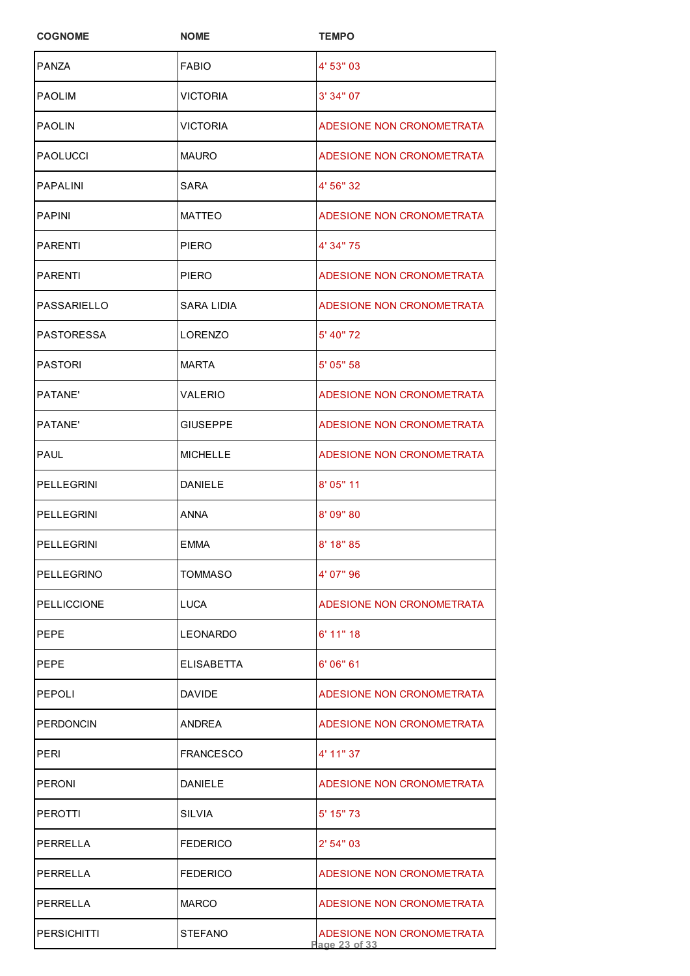| <b>COGNOME</b>     | <b>NOME</b>     | <b>TEMPO</b>                               |
|--------------------|-----------------|--------------------------------------------|
| <b>PANZA</b>       | <b>FABIO</b>    | 4' 53" 03                                  |
| PAOLIM             | VICTORIA        | 3' 34" 07                                  |
| <b>PAOLIN</b>      | VICTORIA        | ADESIONE NON CRONOMETRATA                  |
| <b>PAOLUCCI</b>    | <b>MAURO</b>    | ADESIONE NON CRONOMETRATA                  |
| <b>PAPALINI</b>    | SARA            | 4' 56" 32                                  |
| <b>PAPINI</b>      | <b>MATTEO</b>   | ADESIONE NON CRONOMETRATA                  |
| PARENTI            | PIERO           | 4' 34" 75                                  |
| PARENTI            | PIERO           | ADESIONE NON CRONOMETRATA                  |
| PASSARIELLO        | SARA LIDIA      | ADESIONE NON CRONOMETRATA                  |
| PASTORESSA         | LORENZO         | 5' 40" 72                                  |
| <b>PASTORI</b>     | <b>MARTA</b>    | 5' 05" 58                                  |
| PATANE'            | VALERIO         | ADESIONE NON CRONOMETRATA                  |
| PATANE'            | <b>GIUSEPPE</b> | ADESIONE NON CRONOMETRATA                  |
| PAUL               | <b>MICHELLE</b> | ADESIONE NON CRONOMETRATA                  |
| PELLEGRINI         | <b>DANIELE</b>  | 8' 05" 11                                  |
| <b>PELLEGRINI</b>  | <b>ANNA</b>     | 8' 09" 80                                  |
| PELLEGRINI         | EMMA            | 8' 18" 85                                  |
| PELLEGRINO         | TOMMASO         | 4' 07" 96                                  |
| <b>PELLICCIONE</b> | <b>LUCA</b>     | ADESIONE NON CRONOMETRATA                  |
| PEPE               | <b>LEONARDO</b> | $6'$ 11" 18                                |
| PEPE               | ELISABETTA      | 6'06''61                                   |
| PEPOLI             | <b>DAVIDE</b>   | ADESIONE NON CRONOMETRATA                  |
| <b>PERDONCIN</b>   | ANDREA          | ADESIONE NON CRONOMETRATA                  |
| PERI               | FRANCESCO       | 4' 11" 37                                  |
| <b>PERONI</b>      | DANIELE         | ADESIONE NON CRONOMETRATA                  |
| PEROTTI            | SILVIA          | $5'$ 15" 73                                |
| PERRELLA           | <b>FEDERICO</b> | 2' 54" 03                                  |
| PERRELLA           | <b>FEDERICO</b> | ADESIONE NON CRONOMETRATA                  |
| PERRELLA           | <b>MARCO</b>    | ADESIONE NON CRONOMETRATA                  |
| <b>PERSICHITTI</b> | STEFANO         | ADESIONE NON CRONOMETRATA<br>Page 23 of 33 |
|                    |                 |                                            |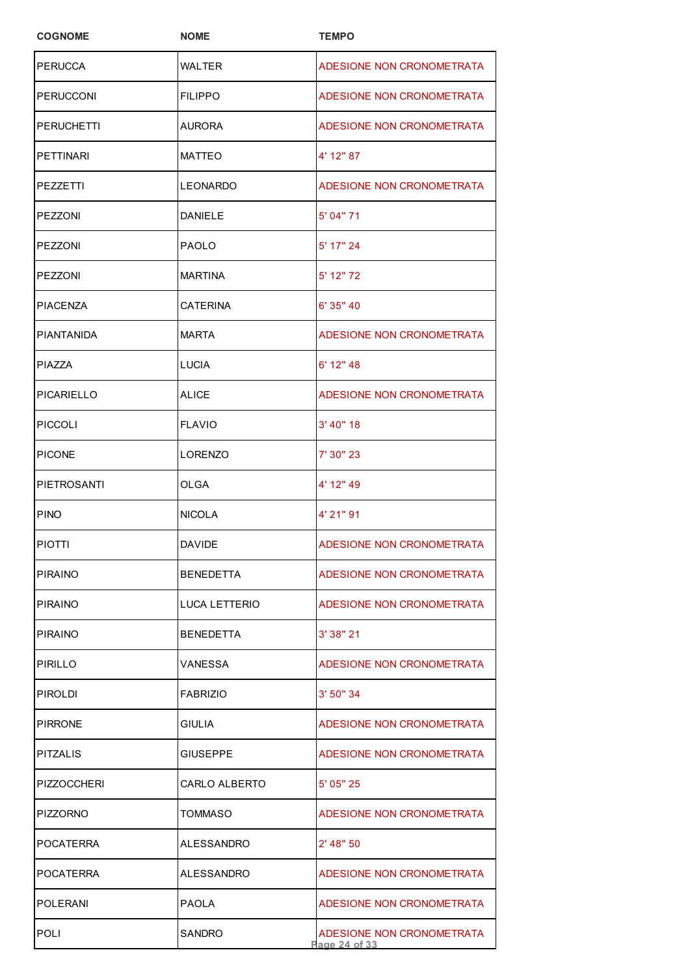| <b>COGNOME</b>   | <b>NOME</b>          | <b>TEMPO</b>                               |
|------------------|----------------------|--------------------------------------------|
| <b>PERUCCA</b>   | WALTER               | ADESIONE NON CRONOMETRATA                  |
| PERUCCONI        | <b>FILIPPO</b>       | ADESIONE NON CRONOMETRATA                  |
| PERUCHETTI       | AURORA               | ADESIONE NON CRONOMETRATA                  |
| <b>PETTINARI</b> | <b>MATTEO</b>        | 4' 12" 87                                  |
| PEZZETTI         | <b>LEONARDO</b>      | ADESIONE NON CRONOMETRATA                  |
| PEZZONI          | <b>DANIELE</b>       | 5' 04" 71                                  |
| PEZZONI          | <b>PAOLO</b>         | 5' 17" 24                                  |
| PEZZONI          | <b>MARTINA</b>       | 5' 12" 72                                  |
| PIACENZA         | CATERINA             | 6' 35" 40                                  |
| PIANTANIDA       | <b>MARTA</b>         | ADESIONE NON CRONOMETRATA                  |
| PIAZZA           | <b>LUCIA</b>         | 6' 12" 48                                  |
| PICARIELLO       | ALICE                | ADESIONE NON CRONOMETRATA                  |
| PICCOLI          | <b>FLAVIO</b>        | $3'$ 40" 18                                |
| <b>PICONE</b>    | LORENZO              | 7' 30" 23                                  |
| PIETROSANTI      | OLGA                 | 4' 12" 49                                  |
| <b>PINO</b>      | <b>NICOLA</b>        | 4' 21" 91                                  |
| <b>PIOTTI</b>    | DAVIDE               | ADESIONE NON CRONOMETRATA                  |
| PIRAINO          | <b>BENEDETTA</b>     | ADESIONE NON CRONOMETRATA                  |
| <b>PIRAINO</b>   | <b>LUCA LETTERIO</b> | ADESIONE NON CRONOMETRATA                  |
| <b>PIRAINO</b>   | <b>BENEDETTA</b>     | 3'38''21                                   |
| PIRILLO          | VANESSA              | ADESIONE NON CRONOMETRATA                  |
| PIROLDI          | <b>FABRIZIO</b>      | 3' 50'' 34                                 |
| PIRRONE          | GIULIA               | ADESIONE NON CRONOMETRATA                  |
| PITZALIS         | GIUSEPPE             | ADESIONE NON CRONOMETRATA                  |
| PIZZOCCHERI      | CARLO ALBERTO        | 5' 05" 25                                  |
| PIZZORNO         | TOMMASO              | ADESIONE NON CRONOMETRATA                  |
| POCATERRA        | ALESSANDRO           | $2'$ 48" 50                                |
| POCATERRA        | ALESSANDRO           | ADESIONE NON CRONOMETRATA                  |
| <b>POLERANI</b>  | <b>PAOLA</b>         | ADESIONE NON CRONOMETRATA                  |
| POLI             | SANDRO               | ADESIONE NON CRONOMETRATA<br>Page 24 of 33 |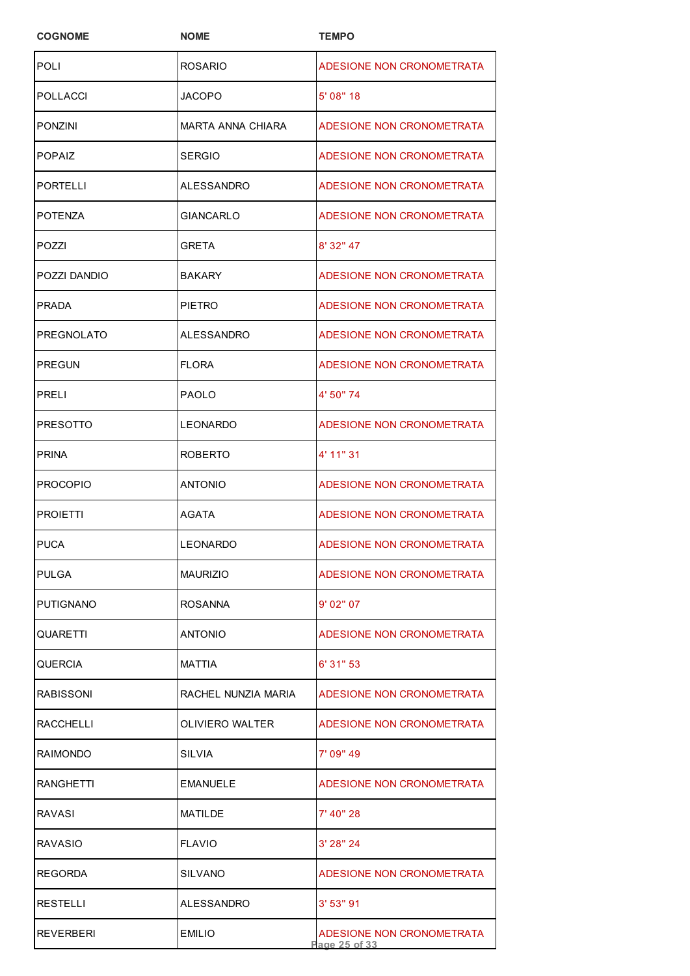| <b>COGNOME</b>    | <b>NOME</b>         | <b>TEMPO</b>                               |
|-------------------|---------------------|--------------------------------------------|
| <b>POLI</b>       | <b>ROSARIO</b>      | ADESIONE NON CRONOMETRATA                  |
| POLLACCI          | JACOPO              | 5' 08" 18                                  |
| PONZINI           | MARTA ANNA CHIARA   | ADESIONE NON CRONOMETRATA                  |
| POPAIZ            | SERGIO              | ADESIONE NON CRONOMETRATA                  |
| <b>PORTELLI</b>   | <b>ALESSANDRO</b>   | ADESIONE NON CRONOMETRATA                  |
| POTENZA           | <b>GIANCARLO</b>    | ADESIONE NON CRONOMETRATA                  |
| POZZI             | GRETA               | 8' 32" 47                                  |
| POZZI DANDIO      | <b>BAKARY</b>       | ADESIONE NON CRONOMETRATA                  |
| PRADA             | PIETRO              | ADESIONE NON CRONOMETRATA                  |
| <b>PREGNOLATO</b> | ALESSANDRO          | ADESIONE NON CRONOMETRATA                  |
| PREGUN            | <b>FLORA</b>        | ADESIONE NON CRONOMETRATA                  |
| PRELI             | <b>PAOLO</b>        | 4' 50" 74                                  |
| PRESOTTO          | <b>LEONARDO</b>     | ADESIONE NON CRONOMETRATA                  |
| <b>PRINA</b>      | ROBERTO             | 4' 11" 31                                  |
| <b>PROCOPIO</b>   | ANTONIO             | ADESIONE NON CRONOMETRATA                  |
| <b>PROIETTI</b>   | <b>AGATA</b>        | ADESIONE NON CRONOMETRATA                  |
| <b>PUCA</b>       | LEONARDO            | ADESIONE NON CRONOMETRATA                  |
| PULGA             | <b>MAURIZIO</b>     | ADESIONE NON CRONOMETRATA                  |
| PUTIGNANO         | <b>ROSANNA</b>      | 9'02"07                                    |
| QUARETTI          | ANTONIO             | ADESIONE NON CRONOMETRATA                  |
| QUERCIA           | MATTIA              | 6' 31" 53                                  |
| RABISSONI         | RACHEL NUNZIA MARIA | ADESIONE NON CRONOMETRATA                  |
| RACCHELLI         | OLIVIERO WALTER     | ADESIONE NON CRONOMETRATA                  |
| RAIMONDO          | SILVIA              | 7' 09" 49                                  |
| RANGHETTI         | <b>EMANUELE</b>     | ADESIONE NON CRONOMETRATA                  |
| RAVASI            | MATILDE             | 7' 40" 28                                  |
| RAVASIO           | <b>FLAVIO</b>       | 3' 28" 24                                  |
| REGORDA           | SILVANO             | ADESIONE NON CRONOMETRATA                  |
| RESTELLI          | ALESSANDRO          | 3' 53" 91                                  |
| REVERBERI         | EMILIO              | ADESIONE NON CRONOMETRATA<br>Page 25 of 33 |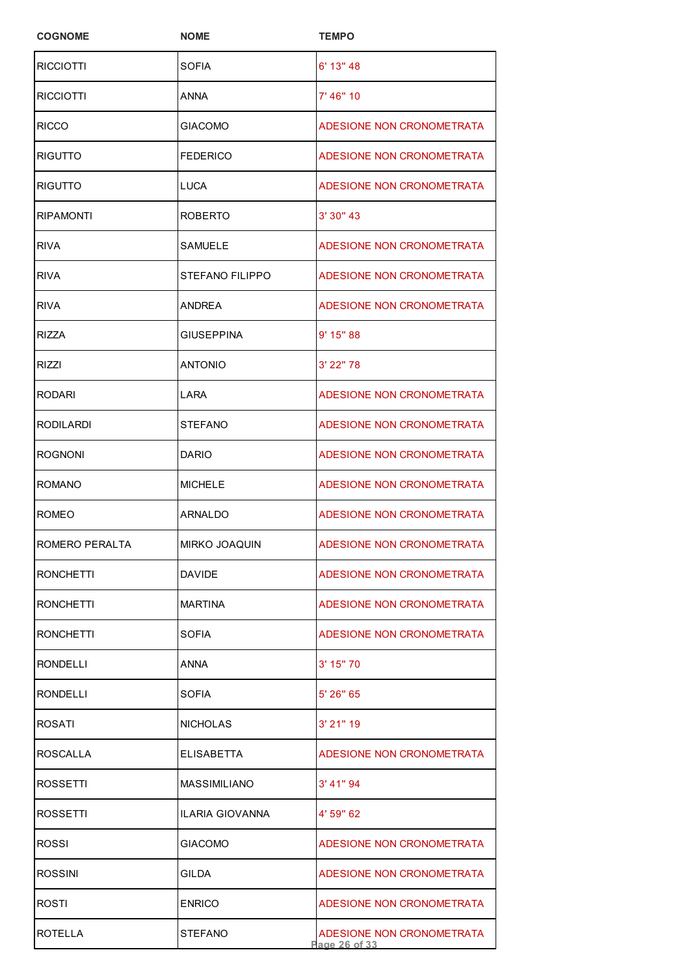| <b>COGNOME</b>   | <b>NOME</b>       | <b>TEMPO</b>                               |
|------------------|-------------------|--------------------------------------------|
| <b>RICCIOTTI</b> | SOFIA             | 6' 13" 48                                  |
| RICCIOTTI        | ANNA              | 7' 46" 10                                  |
| <b>RICCO</b>     | <b>GIACOMO</b>    | ADESIONE NON CRONOMETRATA                  |
| RIGUTTO          | <b>FEDERICO</b>   | ADESIONE NON CRONOMETRATA                  |
| <b>RIGUTTO</b>   | <b>LUCA</b>       | ADESIONE NON CRONOMETRATA                  |
| <b>RIPAMONTI</b> | <b>ROBERTO</b>    | 3' 30" 43                                  |
| <b>RIVA</b>      | SAMUELE           | ADESIONE NON CRONOMETRATA                  |
| <b>RIVA</b>      | STEFANO FILIPPO   | ADESIONE NON CRONOMETRATA                  |
| <b>RIVA</b>      | <b>ANDREA</b>     | ADESIONE NON CRONOMETRATA                  |
| RIZZA            | <b>GIUSEPPINA</b> | 9' 15" 88                                  |
| <b>RIZZI</b>     | <b>ANTONIO</b>    | 3' 22" 78                                  |
| <b>RODARI</b>    | LARA              | ADESIONE NON CRONOMETRATA                  |
| <b>RODILARDI</b> | <b>STEFANO</b>    | ADESIONE NON CRONOMETRATA                  |
| <b>ROGNONI</b>   | <b>DARIO</b>      | ADESIONE NON CRONOMETRATA                  |
| <b>ROMANO</b>    | <b>MICHELE</b>    | ADESIONE NON CRONOMETRATA                  |
| <b>ROMEO</b>     | ARNALDO           | ADESIONE NON CRONOMETRATA                  |
| ROMERO PERALTA   | MIRKO JOAQUIN     | ADESIONE NON CRONOMETRATA                  |
| <b>RONCHETTI</b> | <b>DAVIDE</b>     | ADESIONE NON CRONOMETRATA                  |
| <b>RONCHETTI</b> | <b>MARTINA</b>    | ADESIONE NON CRONOMETRATA                  |
| <b>RONCHETTI</b> | SOFIA             | ADESIONE NON CRONOMETRATA                  |
| RONDELLI         | ANNA              | $3'$ 15" 70                                |
| RONDELLI         | SOFIA             | $5'$ 26" 65                                |
| ROSATI           | <b>NICHOLAS</b>   | 3' 21" 19                                  |
| ROSCALLA         | <b>ELISABETTA</b> | ADESIONE NON CRONOMETRATA                  |
| ROSSETTI         | MASSIMILIANO      | $3'$ 41" 94                                |
| ROSSETTI         | ILARIA GIOVANNA   | 4' 59" 62                                  |
| ROSSI            | <b>GIACOMO</b>    | ADESIONE NON CRONOMETRATA                  |
| <b>ROSSINI</b>   | <b>GILDA</b>      | ADESIONE NON CRONOMETRATA                  |
| ROSTI            | <b>ENRICO</b>     | ADESIONE NON CRONOMETRATA                  |
| ROTELLA          | <b>STEFANO</b>    | ADESIONE NON CRONOMETRATA<br>Page 26 of 33 |
|                  |                   |                                            |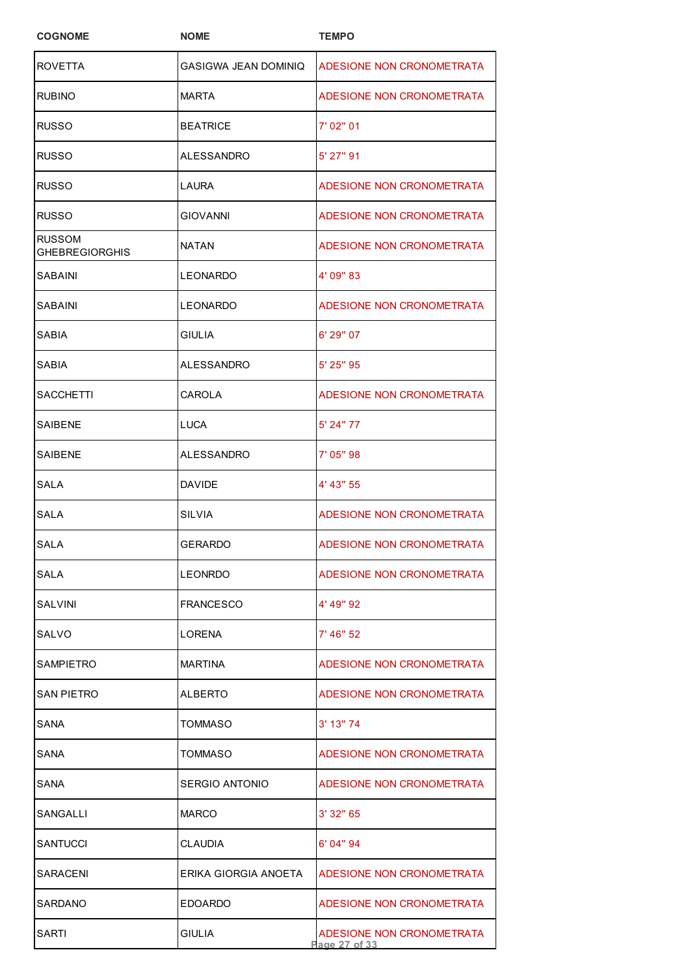| <b>COGNOME</b>                  | <b>NOME</b>          | <b>TEMPO</b>                               |
|---------------------------------|----------------------|--------------------------------------------|
| <b>ROVETTA</b>                  | GASIGWA JEAN DOMINIQ | ADESIONE NON CRONOMETRATA                  |
| RUBINO                          | <b>MARTA</b>         | ADESIONE NON CRONOMETRATA                  |
| RUSSO                           | BEATRICE             | 7' 02" 01                                  |
| RUSSO                           | ALESSANDRO           | 5' 27" 91                                  |
| RUSSO                           | LAURA                | ADESIONE NON CRONOMETRATA                  |
| RUSSO                           | <b>GIOVANNI</b>      | ADESIONE NON CRONOMETRATA                  |
| RUSSOM<br><b>GHEBREGIORGHIS</b> | NATAN                | ADESIONE NON CRONOMETRATA                  |
| SABAINI                         | LEONARDO             | 4' 09" 83                                  |
| SABAINI                         | LEONARDO             | ADESIONE NON CRONOMETRATA                  |
| SABIA                           | <b>GIULIA</b>        | 6' 29" 07                                  |
| SABIA                           | ALESSANDRO           | 5' 25" 95                                  |
| SACCHETTI                       | CAROLA               | ADESIONE NON CRONOMETRATA                  |
| SAIBENE                         | LUCA                 | 5' 24" 77                                  |
| SAIBENE                         | ALESSANDRO           | 7' 05" 98                                  |
| SALA                            | DAVIDE               | 4' 43" 55                                  |
| SALA                            | SILVIA               | ADESIONE NON CRONOMETRATA                  |
| <b>SALA</b>                     | <b>GERARDO</b>       | ADESIONE NON CRONOMETRATA                  |
| SALA                            | LEONRDO              | ADESIONE NON CRONOMETRATA                  |
| SALVINI                         | FRANCESCO            | 4' 49" 92                                  |
| SALVO                           | LORENA               | 7' 46" 52                                  |
| SAMPIETRO                       | <b>MARTINA</b>       | ADESIONE NON CRONOMETRATA                  |
| SAN PIETRO                      | ALBERTO              | ADESIONE NON CRONOMETRATA                  |
| SANA                            | TOMMASO              | 3' 13" 74                                  |
| SANA                            | TOMMASO              | ADESIONE NON CRONOMETRATA                  |
| SANA                            | SERGIO ANTONIO       | ADESIONE NON CRONOMETRATA                  |
| SANGALLI                        | <b>MARCO</b>         | 3'32"65                                    |
| SANTUCCI                        | <b>CLAUDIA</b>       | 6' 04" 94                                  |
| SARACENI                        | ERIKA GIORGIA ANOETA | ADESIONE NON CRONOMETRATA                  |
| SARDANO                         | EDOARDO              | ADESIONE NON CRONOMETRATA                  |
| SARTI                           | <b>GIULIA</b>        | ADESIONE NON CRONOMETRATA<br>Page 27 of 33 |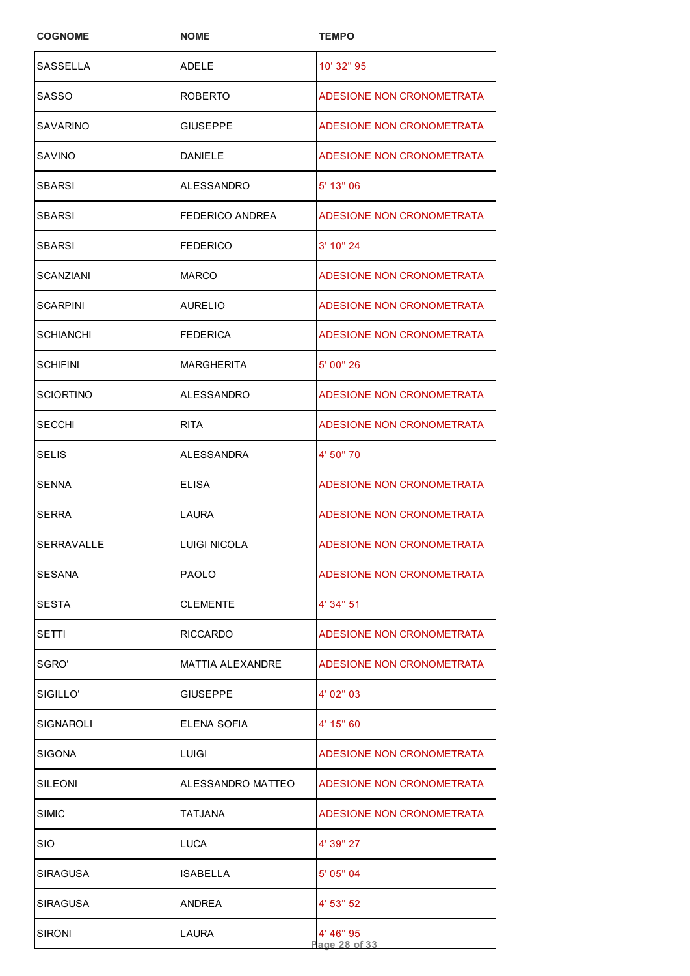| <b>COGNOME</b>  | <b>NOME</b>         | <b>TEMPO</b>               |
|-----------------|---------------------|----------------------------|
| <b>SASSELLA</b> | <b>ADELE</b>        | 10' 32" 95                 |
| SASSO           | <b>ROBERTO</b>      | ADESIONE NON CRONOMETRATA  |
| SAVARINO        | <b>GIUSEPPE</b>     | ADESIONE NON CRONOMETRATA  |
| SAVINO          | <b>DANIELE</b>      | ADESIONE NON CRONOMETRATA  |
| <b>SBARSI</b>   | ALESSANDRO          | 5' 13" 06                  |
| <b>SBARSI</b>   | FEDERICO ANDREA     | ADESIONE NON CRONOMETRATA  |
| SBARSI          | <b>FEDERICO</b>     | 3' 10" 24                  |
| SCANZIANI       | <b>MARCO</b>        | ADESIONE NON CRONOMETRATA  |
| SCARPINI        | AURELIO             | ADESIONE NON CRONOMETRATA  |
| SCHIANCHI       | <b>FEDERICA</b>     | ADESIONE NON CRONOMETRATA  |
| <b>SCHIFINI</b> | <b>MARGHERITA</b>   | 5' 00" 26                  |
| SCIORTINO       | ALESSANDRO          | ADESIONE NON CRONOMETRATA  |
| <b>SECCHI</b>   | <b>RITA</b>         | ADESIONE NON CRONOMETRATA  |
| SELIS           | ALESSANDRA          | 4' 50" 70                  |
| SENNA           | ELISA               | ADESIONE NON CRONOMETRATA  |
| SERRA           | <b>LAURA</b>        | ADESIONE NON CRONOMETRATA  |
| SERRAVALLE      | <b>LUIGI NICOLA</b> | ADESIONE NON CRONOMETRATA  |
| SESANA          | <b>PAOLO</b>        | ADESIONE NON CRONOMETRATA  |
| <b>SESTA</b>    | <b>CLEMENTE</b>     | 4' 34" 51                  |
| SETTI           | <b>RICCARDO</b>     | ADESIONE NON CRONOMETRATA  |
| SGRO'           | MATTIA ALEXANDRE    | ADESIONE NON CRONOMETRATA  |
| SIGILLO'        | <b>GIUSEPPE</b>     | 4' 02" 03                  |
| SIGNAROLI       | ELENA SOFIA         | 4' 15" 60                  |
| SIGONA          | LUIGI               | ADESIONE NON CRONOMETRATA  |
| SILEONI         | ALESSANDRO MATTEO   | ADESIONE NON CRONOMETRATA  |
| SIMIC           | TATJANA             | ADESIONE NON CRONOMETRATA  |
| SIO             | LUCA                | 4' 39" 27                  |
| <b>SIRAGUSA</b> | ISABELLA            | 5' 05" 04                  |
| <b>SIRAGUSA</b> | <b>ANDREA</b>       | 4' 53" 52                  |
| SIRONI          | LAURA               | 4' 46" 95<br>Page 28 of 33 |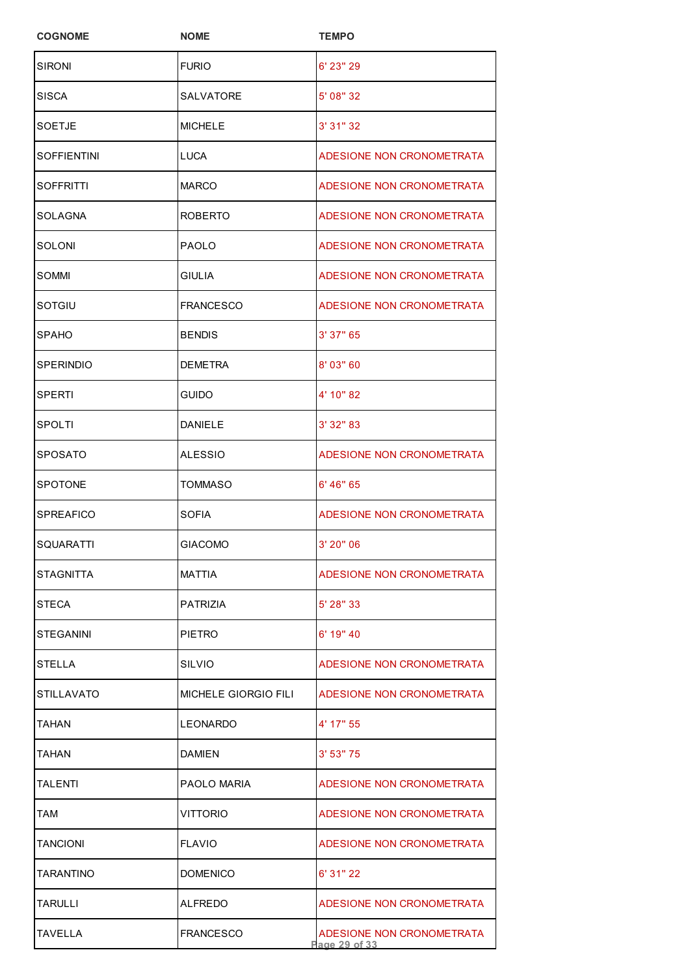| <b>COGNOME</b>   | <b>NOME</b>                 | <b>TEMPO</b>                               |
|------------------|-----------------------------|--------------------------------------------|
| <b>SIRONI</b>    | <b>FURIO</b>                | 6' 23" 29                                  |
| SISCA            | SALVATORE                   | 5' 08" 32                                  |
| SOETJE           | <b>MICHELE</b>              | 3' 31" 32                                  |
| SOFFIENTINI      | LUCA                        | ADESIONE NON CRONOMETRATA                  |
| SOFFRITTI        | <b>MARCO</b>                | ADESIONE NON CRONOMETRATA                  |
| SOLAGNA          | <b>ROBERTO</b>              | ADESIONE NON CRONOMETRATA                  |
| SOLONI           | <b>PAOLO</b>                | ADESIONE NON CRONOMETRATA                  |
| SOMMI            | GIULIA                      | ADESIONE NON CRONOMETRATA                  |
| SOTGIU           | FRANCESCO                   | ADESIONE NON CRONOMETRATA                  |
| SPAHO            | <b>BENDIS</b>               | 3' 37" 65                                  |
| <b>SPERINDIO</b> | <b>DEMETRA</b>              | 8' 03" 60                                  |
| SPERTI           | <b>GUIDO</b>                | 4' 10" 82                                  |
| SPOLTI           | DANIELE                     | 3' 32" 83                                  |
| SPOSATO          | ALESSIO                     | ADESIONE NON CRONOMETRATA                  |
| SPOTONE          | <b>TOMMASO</b>              | 6' 46" 65                                  |
| SPREAFICO        | <b>SOFIA</b>                | ADESIONE NON CRONOMETRATA                  |
| SQUARATTI        | <b>GIACOMO</b>              | 3' 20" 06                                  |
| STAGNITTA        | <b>MATTIA</b>               | ADESIONE NON CRONOMETRATA                  |
| STECA            | PATRIZIA                    | 5' 28" 33                                  |
| STEGANINI        | <b>PIETRO</b>               | 6' 19" 40                                  |
| STELLA           | SILVIO                      | ADESIONE NON CRONOMETRATA                  |
| STILLAVATO       | <b>MICHELE GIORGIO FILI</b> | ADESIONE NON CRONOMETRATA                  |
| TAHAN            | <b>LEONARDO</b>             | 4' 17" 55                                  |
| TAHAN            | DAMIEN                      | 3' 53" 75                                  |
| TALENTI          | PAOLO MARIA                 | ADESIONE NON CRONOMETRATA                  |
| TAM              | VITTORIO                    | ADESIONE NON CRONOMETRATA                  |
| TANCIONI         | <b>FLAVIO</b>               | ADESIONE NON CRONOMETRATA                  |
| TARANTINO        | <b>DOMENICO</b>             | 6' 31" 22                                  |
| TARULLI          | ALFREDO                     | ADESIONE NON CRONOMETRATA                  |
| TAVELLA          | <b>FRANCESCO</b>            | ADESIONE NON CRONOMETRATA<br>Page 29 of 33 |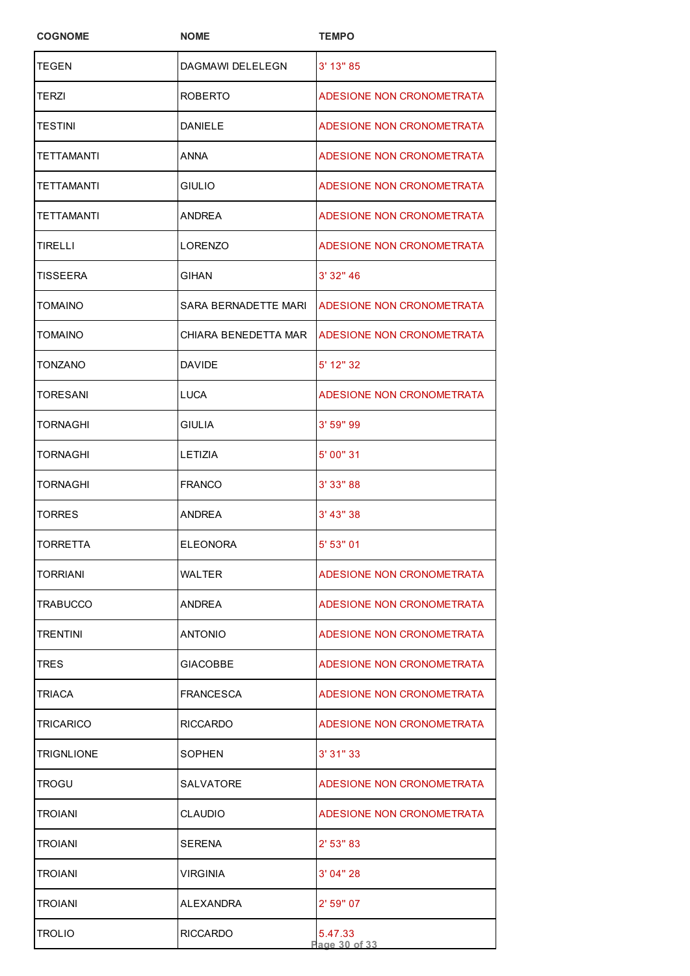| <b>COGNOME</b>   | <b>NOME</b>          | <b>TEMPO</b>              |
|------------------|----------------------|---------------------------|
| TEGEN            | DAGMAWI DELELEGN     | 3' 13" 85                 |
| TERZI            | ROBERTO              | ADESIONE NON CRONOMETRATA |
| TESTINI          | DANIELE              | ADESIONE NON CRONOMETRATA |
| TETTAMANTI       | ANNA                 | ADESIONE NON CRONOMETRATA |
| TETTAMANTI       | GIULIO               | ADESIONE NON CRONOMETRATA |
| TETTAMANTI       | <b>ANDREA</b>        | ADESIONE NON CRONOMETRATA |
| TIRELLI          | LORENZO              | ADESIONE NON CRONOMETRATA |
| TISSEERA         | GIHAN                | 3' 32" 46                 |
| TOMAINO          | SARA BERNADETTE MARI | ADESIONE NON CRONOMETRATA |
| TOMAINO          | CHIARA BENEDETTA MAR | ADESIONE NON CRONOMETRATA |
| TONZANO          | <b>DAVIDE</b>        | 5' 12" 32                 |
| TORESANI         | LUCA                 | ADESIONE NON CRONOMETRATA |
| TORNAGHI         | <b>GIULIA</b>        | 3' 59" 99                 |
| TORNAGHI         | LETIZIA              | 5' 00" 31                 |
| <b>TORNAGHI</b>  | <b>FRANCO</b>        | 3' 33" 88                 |
| TORRES           | <b>ANDREA</b>        | 3' 43" 38                 |
| TORRETTA         | <b>ELEONORA</b>      | 5' 53" 01                 |
| TORRIANI         | WALTER               | ADESIONE NON CRONOMETRATA |
| TRABUCCO         | ANDREA               | ADESIONE NON CRONOMETRATA |
| TRENTINI         | ANTONIO              | ADESIONE NON CRONOMETRATA |
| TRES             | GIACOBBE             | ADESIONE NON CRONOMETRATA |
| TRIACA           | <b>FRANCESCA</b>     | ADESIONE NON CRONOMETRATA |
| <b>TRICARICO</b> | <b>RICCARDO</b>      | ADESIONE NON CRONOMETRATA |
| TRIGNLIONE       | SOPHEN               | 3'31''33                  |
| TROGU            | SALVATORE            | ADESIONE NON CRONOMETRATA |
| TROIANI          | <b>CLAUDIO</b>       | ADESIONE NON CRONOMETRATA |
| TROIANI          | SERENA               | $2'$ 53" 83               |
| TROIANI          | VIRGINIA             | 3'04''28                  |
| TROIANI          | ALEXANDRA            | 2' 59" 07                 |
| TROLIO           | <b>RICCARDO</b>      | 5.47.33<br>Page 30 of 33  |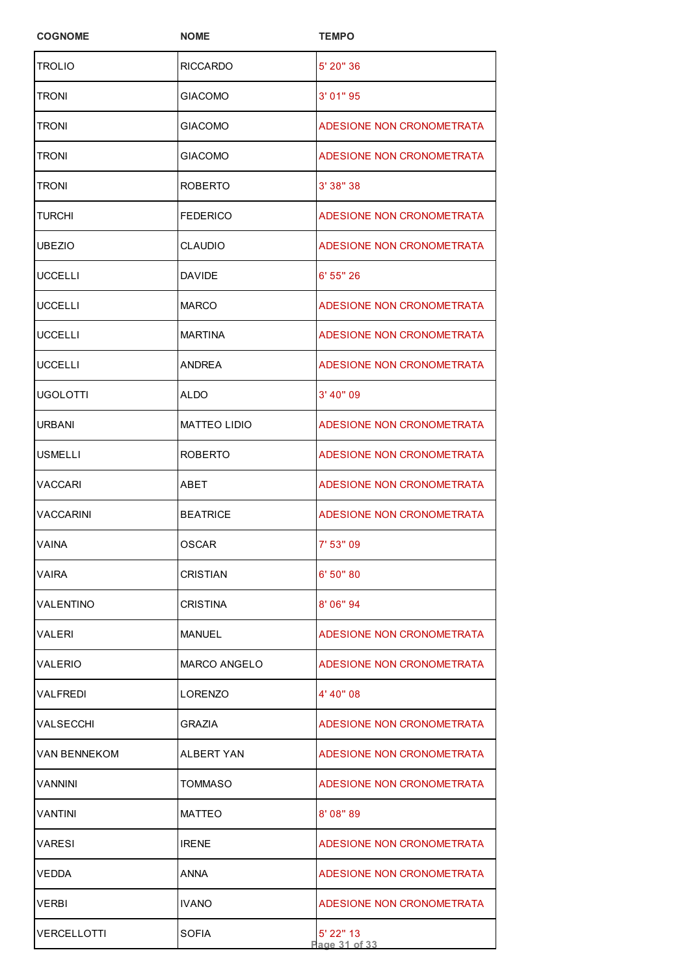| <b>COGNOME</b> | <b>NOME</b>         | <b>TEMPO</b>               |
|----------------|---------------------|----------------------------|
| TROLIO         | RICCARDO            | 5' 20" 36                  |
| TRONI          | <b>GIACOMO</b>      | 3'01''95                   |
| TRONI          | <b>GIACOMO</b>      | ADESIONE NON CRONOMETRATA  |
| TRONI          | <b>GIACOMO</b>      | ADESIONE NON CRONOMETRATA  |
| TRONI          | ROBERTO             | 3' 38" 38                  |
| TURCHI         | <b>FEDERICO</b>     | ADESIONE NON CRONOMETRATA  |
| UBEZIO         | CLAUDIO             | ADESIONE NON CRONOMETRATA  |
| UCCELLI        | DAVIDE              | 6' 55" 26                  |
| UCCELLI        | MARCO               | ADESIONE NON CRONOMETRATA  |
| UCCELLI        | <b>MARTINA</b>      | ADESIONE NON CRONOMETRATA  |
| UCCELLI        | ANDREA              | ADESIONE NON CRONOMETRATA  |
| UGOLOTTI       | ALDO                | 3' 40" 09                  |
| URBANI         | <b>MATTEO LIDIO</b> | ADESIONE NON CRONOMETRATA  |
| USMELLI        | ROBERTO             | ADESIONE NON CRONOMETRATA  |
| VACCARI        | ABET                | ADESIONE NON CRONOMETRATA  |
| VACCARINI      | <b>BEATRICE</b>     | ADESIONE NON CRONOMETRATA  |
| <b>VAINA</b>   | <b>OSCAR</b>        | 7' 53" 09                  |
| VAIRA          | <b>CRISTIAN</b>     | 6' 50" 80                  |
| VALENTINO      | CRISTINA            | 8' 06" 94                  |
| VALERI         | MANUEL              | ADESIONE NON CRONOMETRATA  |
| VALERIO        | <b>MARCO ANGELO</b> | ADESIONE NON CRONOMETRATA  |
| VALFREDI       | LORENZO             | 4' 40" 08                  |
| VALSECCHI      | GRAZIA              | ADESIONE NON CRONOMETRATA  |
| VAN BENNEKOM   | ALBERT YAN          | ADESIONE NON CRONOMETRATA  |
| VANNINI        | TOMMASO             | ADESIONE NON CRONOMETRATA  |
| VANTINI        | <b>MATTEO</b>       | 8' 08" 89                  |
| VARESI         | <b>IRENE</b>        | ADESIONE NON CRONOMETRATA  |
| VEDDA          | ANNA                | ADESIONE NON CRONOMETRATA  |
| VERBI          | <b>IVANO</b>        | ADESIONE NON CRONOMETRATA  |
| VERCELLOTTI    | SOFIA               | 5' 22" 13<br>Page 31 of 33 |
|                |                     |                            |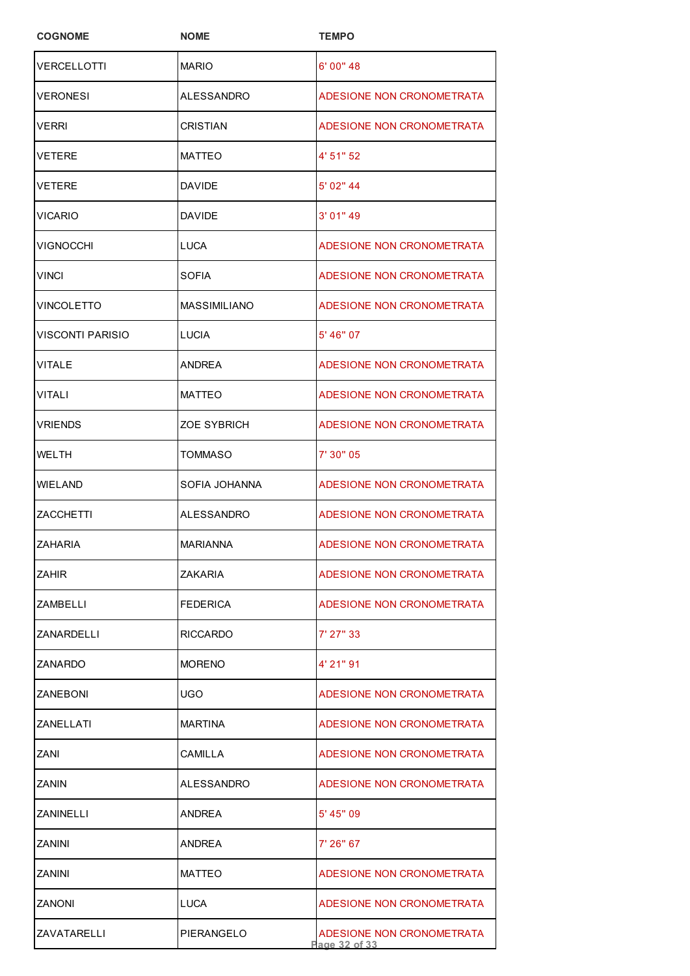| <b>COGNOME</b>     | <b>NOME</b>         | <b>TEMPO</b>                               |
|--------------------|---------------------|--------------------------------------------|
| VERCELLOTTI        | <b>MARIO</b>        | 6' 00" 48                                  |
| VERONESI           | ALESSANDRO          | ADESIONE NON CRONOMETRATA                  |
| VERRI              | CRISTIAN            | ADESIONE NON CRONOMETRATA                  |
| VETERE             | <b>MATTEO</b>       | 4' 51" 52                                  |
| VETERE             | <b>DAVIDE</b>       | 5' 02" 44                                  |
| VICARIO            | <b>DAVIDE</b>       | 3' 01" 49                                  |
| VIGNOCCHI          | <b>LUCA</b>         | ADESIONE NON CRONOMETRATA                  |
| <b>VINCI</b>       | SOFIA               | ADESIONE NON CRONOMETRATA                  |
| VINCOLETTO         | <b>MASSIMILIANO</b> | ADESIONE NON CRONOMETRATA                  |
| VISCONTI PARISIO   | <b>LUCIA</b>        | 5' 46" 07                                  |
| VITALE             | ANDREA              | ADESIONE NON CRONOMETRATA                  |
| VITALI             | <b>MATTEO</b>       | ADESIONE NON CRONOMETRATA                  |
| VRIENDS            | ZOE SYBRICH         | ADESIONE NON CRONOMETRATA                  |
| WELTH              | TOMMASO             | 7' 30" 05                                  |
| WIELAND            | SOFIA JOHANNA       | ADESIONE NON CRONOMETRATA                  |
| ZACCHETTI          | <b>ALESSANDRO</b>   | ADESIONE NON CRONOMETRATA                  |
| IZAHARIA           | <b>MARIANNA</b>     | <b>ADESIONE NON CRONOMETRATA</b>           |
| ZAHIR              | <b>ZAKARIA</b>      | ADESIONE NON CRONOMETRATA                  |
| ZAMBELLI           | <b>FEDERICA</b>     | ADESIONE NON CRONOMETRATA                  |
| ZANARDELLI         | RICCARDO            | 7' 27" 33                                  |
| ZANARDO            | <b>MORENO</b>       | 4' 21" 91                                  |
| <b>ZANEBONI</b>    | UGO                 | ADESIONE NON CRONOMETRATA                  |
| ZANELLATI          | <b>MARTINA</b>      | ADESIONE NON CRONOMETRATA                  |
| ZANI               | CAMILLA             | ADESIONE NON CRONOMETRATA                  |
| ZANIN              | ALESSANDRO          | ADESIONE NON CRONOMETRATA                  |
| ZANINELLI          | <b>ANDREA</b>       | 5' 45" 09                                  |
| ZANINI             | ANDREA              | 7' 26" 67                                  |
| ZANINI             | <b>MATTEO</b>       | ADESIONE NON CRONOMETRATA                  |
| ZANONI             | LUCA                | ADESIONE NON CRONOMETRATA                  |
| <b>ZAVATARELLI</b> | PIERANGELO          | ADESIONE NON CRONOMETRATA<br>Page 32 of 33 |